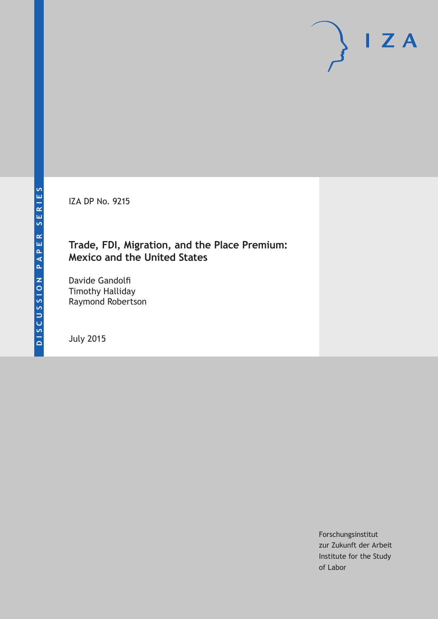IZA DP No. 9215

# **Trade, FDI, Migration, and the Place Premium: Mexico and the United States**

Davide Gandolfi Timothy Halliday Raymond Robertson

July 2015

Forschungsinstitut zur Zukunft der Arbeit Institute for the Study of Labor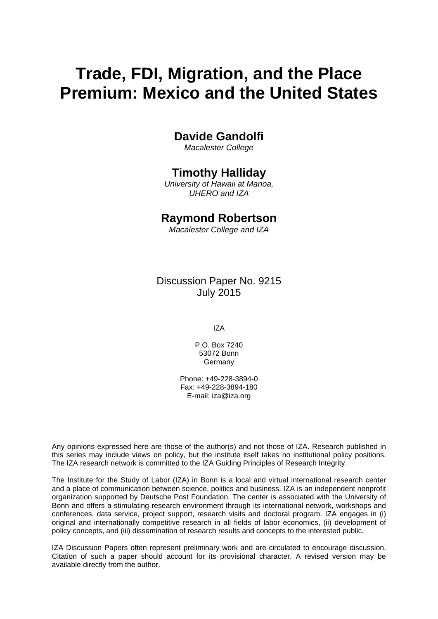# **Trade, FDI, Migration, and the Place Premium: Mexico and the United States**

# **Davide Gandolfi**

*Macalester College* 

# **Timothy Halliday**

*University of Hawaii at Manoa, UHERO and IZA* 

# **Raymond Robertson**

*Macalester College and IZA*

Discussion Paper No. 9215 July 2015

IZA

P.O. Box 7240 53072 Bonn Germany

Phone: +49-228-3894-0 Fax: +49-228-3894-180 E-mail: iza@iza.org

Any opinions expressed here are those of the author(s) and not those of IZA. Research published in this series may include views on policy, but the institute itself takes no institutional policy positions. The IZA research network is committed to the IZA Guiding Principles of Research Integrity.

The Institute for the Study of Labor (IZA) in Bonn is a local and virtual international research center and a place of communication between science, politics and business. IZA is an independent nonprofit organization supported by Deutsche Post Foundation. The center is associated with the University of Bonn and offers a stimulating research environment through its international network, workshops and conferences, data service, project support, research visits and doctoral program. IZA engages in (i) original and internationally competitive research in all fields of labor economics, (ii) development of policy concepts, and (iii) dissemination of research results and concepts to the interested public.

IZA Discussion Papers often represent preliminary work and are circulated to encourage discussion. Citation of such a paper should account for its provisional character. A revised version may be available directly from the author.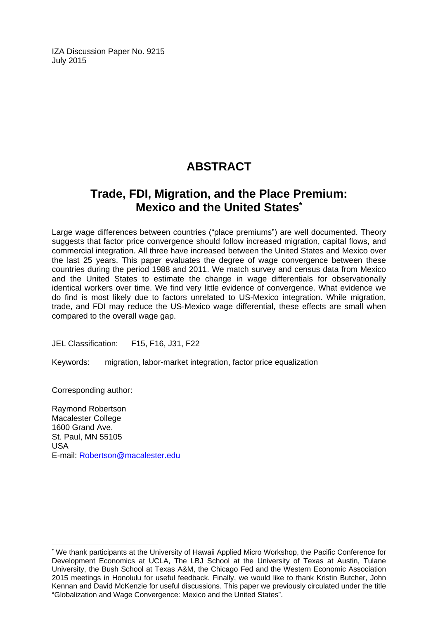IZA Discussion Paper No. 9215 July 2015

# **ABSTRACT**

# **Trade, FDI, Migration, and the Place Premium: Mexico and the United States\***

Large wage differences between countries ("place premiums") are well documented. Theory suggests that factor price convergence should follow increased migration, capital flows, and commercial integration. All three have increased between the United States and Mexico over the last 25 years. This paper evaluates the degree of wage convergence between these countries during the period 1988 and 2011. We match survey and census data from Mexico and the United States to estimate the change in wage differentials for observationally identical workers over time. We find very little evidence of convergence. What evidence we do find is most likely due to factors unrelated to US-Mexico integration. While migration, trade, and FDI may reduce the US-Mexico wage differential, these effects are small when compared to the overall wage gap.

JEL Classification: F15, F16, J31, F22

Keywords: migration, labor-market integration, factor price equalization

Corresponding author:

 $\overline{a}$ 

Raymond Robertson Macalester College 1600 Grand Ave. St. Paul, MN 55105 USA E-mail: Robertson@macalester.edu

<sup>\*</sup> We thank participants at the University of Hawaii Applied Micro Workshop, the Pacific Conference for Development Economics at UCLA, The LBJ School at the University of Texas at Austin, Tulane University, the Bush School at Texas A&M, the Chicago Fed and the Western Economic Association 2015 meetings in Honolulu for useful feedback. Finally, we would like to thank Kristin Butcher, John Kennan and David McKenzie for useful discussions. This paper we previously circulated under the title "Globalization and Wage Convergence: Mexico and the United States".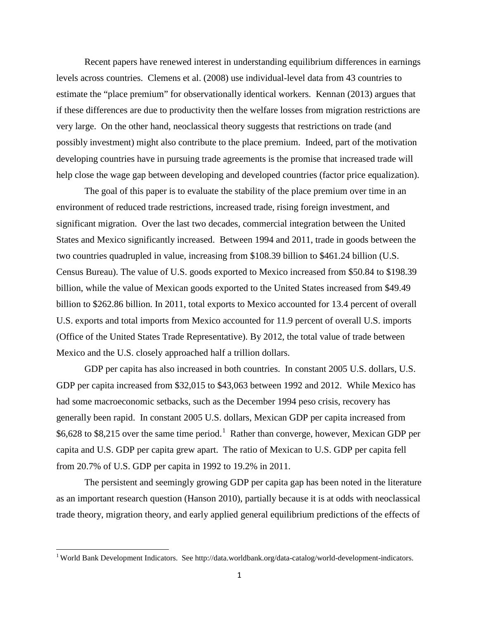Recent papers have renewed interest in understanding equilibrium differences in earnings levels across countries. Clemens et al. (2008) use individual-level data from 43 countries to estimate the "place premium" for observationally identical workers. Kennan (2013) argues that if these differences are due to productivity then the welfare losses from migration restrictions are very large. On the other hand, neoclassical theory suggests that restrictions on trade (and possibly investment) might also contribute to the place premium. Indeed, part of the motivation developing countries have in pursuing trade agreements is the promise that increased trade will help close the wage gap between developing and developed countries (factor price equalization).

The goal of this paper is to evaluate the stability of the place premium over time in an environment of reduced trade restrictions, increased trade, rising foreign investment, and significant migration. Over the last two decades, commercial integration between the United States and Mexico significantly increased. Between 1994 and 2011, trade in goods between the two countries quadrupled in value, increasing from \$108.39 billion to \$461.24 billion (U.S. Census Bureau). The value of U.S. goods exported to Mexico increased from \$50.84 to \$198.39 billion, while the value of Mexican goods exported to the United States increased from \$49.49 billion to \$262.86 billion. In 2011, total exports to Mexico accounted for 13.4 percent of overall U.S. exports and total imports from Mexico accounted for 11.9 percent of overall U.S. imports (Office of the United States Trade Representative). By 2012, the total value of trade between Mexico and the U.S. closely approached half a trillion dollars.

<span id="page-3-0"></span>GDP per capita has also increased in both countries. In constant 2005 U.S. dollars, U.S. GDP per capita increased from \$32,015 to \$43,063 between 1992 and 2012. While Mexico has had some macroeconomic setbacks, such as the December 1994 peso crisis, recovery has generally been rapid. In constant 2005 U.S. dollars, Mexican GDP per capita increased from \$6,628 to \$8,215 over the same time period.<sup>1</sup> Rather than converge, however, Mexican GDP per capita and U.S. GDP per capita grew apart. The ratio of Mexican to U.S. GDP per capita fell from 20.7% of U.S. GDP per capita in 1992 to 19.2% in 2011.

The persistent and seemingly growing GDP per capita gap has been noted in the literature as an important research question (Hanson 2010), partially because it is at odds with neoclassical trade theory, migration theory, and early applied general equilibrium predictions of the effects of

<sup>&</sup>lt;sup>1</sup> World Bank Development Indicators. See http://data.worldbank.org/data-catalog/world-development-indicators.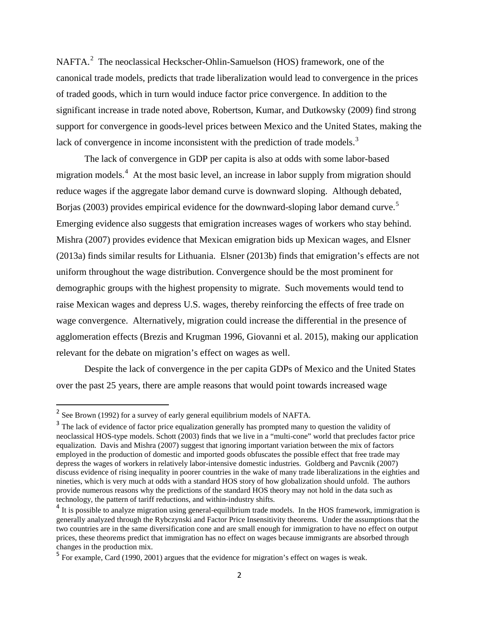NAFTA.<sup>[2](#page-3-0)</sup> The neoclassical Heckscher-Ohlin-Samuelson (HOS) framework, one of the canonical trade models, predicts that trade liberalization would lead to convergence in the prices of traded goods, which in turn would induce factor price convergence. In addition to the significant increase in trade noted above, Robertson, Kumar, and Dutkowsky (2009) find strong support for convergence in goods-level prices between Mexico and the United States, making the lack of convergence in income inconsistent with the prediction of trade models.<sup>[3](#page-4-0)</sup>

The lack of convergence in GDP per capita is also at odds with some labor-based migration models.<sup>[4](#page-4-1)</sup> At the most basic level, an increase in labor supply from migration should reduce wages if the aggregate labor demand curve is downward sloping. Although debated, Borjas (2003) provides empirical evidence for the downward-sloping labor demand curve.<sup>[5](#page-4-2)</sup> Emerging evidence also suggests that emigration increases wages of workers who stay behind. Mishra (2007) provides evidence that Mexican emigration bids up Mexican wages, and Elsner (2013a) finds similar results for Lithuania. Elsner (2013b) finds that emigration's effects are not uniform throughout the wage distribution. Convergence should be the most prominent for demographic groups with the highest propensity to migrate. Such movements would tend to raise Mexican wages and depress U.S. wages, thereby reinforcing the effects of free trade on wage convergence. Alternatively, migration could increase the differential in the presence of agglomeration effects (Brezis and Krugman 1996, Giovanni et al. 2015), making our application relevant for the debate on migration's effect on wages as well.

Despite the lack of convergence in the per capita GDPs of Mexico and the United States over the past 25 years, there are ample reasons that would point towards increased wage

<sup>&</sup>lt;sup>2</sup> See Brown (1992) for a survey of early general equilibrium models of NAFTA.

<span id="page-4-0"></span><sup>&</sup>lt;sup>3</sup> The lack of evidence of factor price equalization generally has prompted many to question the validity of neoclassical HOS-type models. Schott (2003) finds that we live in a "multi-cone" world that precludes factor price equalization. Davis and Mishra (2007) suggest that ignoring important variation between the mix of factors employed in the production of domestic and imported goods obfuscates the possible effect that free trade may depress the wages of workers in relatively labor-intensive domestic industries. Goldberg and Pavcnik (2007) discuss evidence of rising inequality in poorer countries in the wake of many trade liberalizations in the eighties and nineties, which is very much at odds with a standard HOS story of how globalization should unfold. The authors provide numerous reasons why the predictions of the standard HOS theory may not hold in the data such as technology, the pattern of tariff reductions, and within-industry shifts.

<span id="page-4-1"></span><sup>&</sup>lt;sup>4</sup> It is possible to analyze migration using general-equilibrium trade models. In the HOS framework, immigration is generally analyzed through the Rybczynski and Factor Price Insensitivity theorems. Under the assumptions that the two countries are in the same diversification cone and are small enough for immigration to have no effect on output prices, these theorems predict that immigration has no effect on wages because immigrants are absorbed through changes in the production mix.

<span id="page-4-3"></span><span id="page-4-2"></span><sup>5</sup> For example, Card (1990, 2001) argues that the evidence for migration's effect on wages is weak.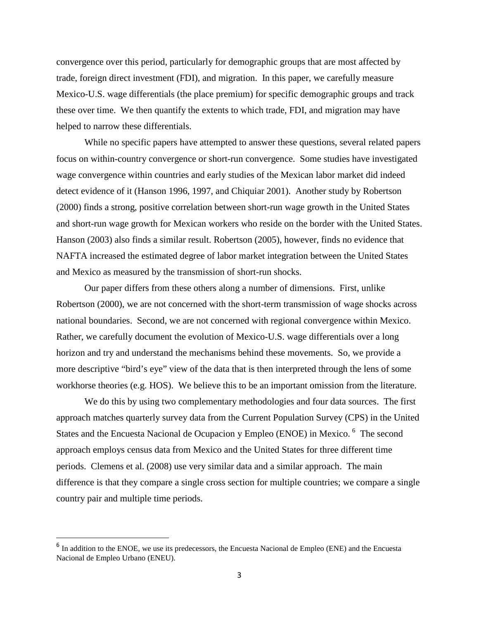convergence over this period, particularly for demographic groups that are most affected by trade, foreign direct investment (FDI), and migration. In this paper, we carefully measure Mexico-U.S. wage differentials (the place premium) for specific demographic groups and track these over time. We then quantify the extents to which trade, FDI, and migration may have helped to narrow these differentials.

While no specific papers have attempted to answer these questions, several related papers focus on within-country convergence or short-run convergence. Some studies have investigated wage convergence within countries and early studies of the Mexican labor market did indeed detect evidence of it (Hanson 1996, 1997, and Chiquiar 2001). Another study by Robertson (2000) finds a strong, positive correlation between short-run wage growth in the United States and short-run wage growth for Mexican workers who reside on the border with the United States. Hanson (2003) also finds a similar result. Robertson (2005), however, finds no evidence that NAFTA increased the estimated degree of labor market integration between the United States and Mexico as measured by the transmission of short-run shocks.

Our paper differs from these others along a number of dimensions. First, unlike Robertson (2000), we are not concerned with the short-term transmission of wage shocks across national boundaries. Second, we are not concerned with regional convergence within Mexico. Rather, we carefully document the evolution of Mexico-U.S. wage differentials over a long horizon and try and understand the mechanisms behind these movements. So, we provide a more descriptive "bird's eye" view of the data that is then interpreted through the lens of some workhorse theories (e.g. HOS). We believe this to be an important omission from the literature.

We do this by using two complementary methodologies and four data sources. The first approach matches quarterly survey data from the Current Population Survey (CPS) in the United States and the Encuesta Nacional de Ocupacion y Empleo (ENOE) in Mexico.<sup>[6](#page-4-3)</sup> The second approach employs census data from Mexico and the United States for three different time periods. Clemens et al. (2008) use very similar data and a similar approach. The main difference is that they compare a single cross section for multiple countries; we compare a single country pair and multiple time periods.

<span id="page-5-0"></span><sup>&</sup>lt;sup>6</sup> In addition to the ENOE, we use its predecessors, the Encuesta Nacional de Empleo (ENE) and the Encuesta Nacional de Empleo Urbano (ENEU).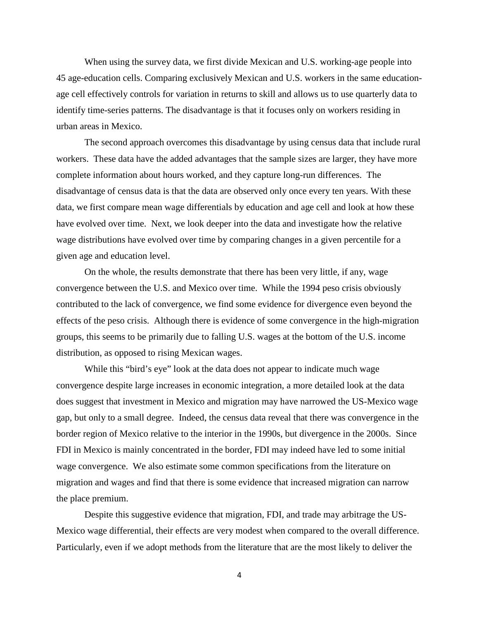When using the survey data, we first divide Mexican and U.S. working-age people into 45 age-education cells. Comparing exclusively Mexican and U.S. workers in the same educationage cell effectively controls for variation in returns to skill and allows us to use quarterly data to identify time-series patterns. The disadvantage is that it focuses only on workers residing in urban areas in Mexico.

The second approach overcomes this disadvantage by using census data that include rural workers. These data have the added advantages that the sample sizes are larger, they have more complete information about hours worked, and they capture long-run differences. The disadvantage of census data is that the data are observed only once every ten years. With these data, we first compare mean wage differentials by education and age cell and look at how these have evolved over time. Next, we look deeper into the data and investigate how the relative wage distributions have evolved over time by comparing changes in a given percentile for a given age and education level.

On the whole, the results demonstrate that there has been very little, if any, wage convergence between the U.S. and Mexico over time. While the 1994 peso crisis obviously contributed to the lack of convergence, we find some evidence for divergence even beyond the effects of the peso crisis. Although there is evidence of some convergence in the high-migration groups, this seems to be primarily due to falling U.S. wages at the bottom of the U.S. income distribution, as opposed to rising Mexican wages.

While this "bird's eye" look at the data does not appear to indicate much wage convergence despite large increases in economic integration, a more detailed look at the data does suggest that investment in Mexico and migration may have narrowed the US-Mexico wage gap, but only to a small degree. Indeed, the census data reveal that there was convergence in the border region of Mexico relative to the interior in the 1990s, but divergence in the 2000s. Since FDI in Mexico is mainly concentrated in the border, FDI may indeed have led to some initial wage convergence. We also estimate some common specifications from the literature on migration and wages and find that there is some evidence that increased migration can narrow the place premium.

Despite this suggestive evidence that migration, FDI, and trade may arbitrage the US-Mexico wage differential, their effects are very modest when compared to the overall difference. Particularly, even if we adopt methods from the literature that are the most likely to deliver the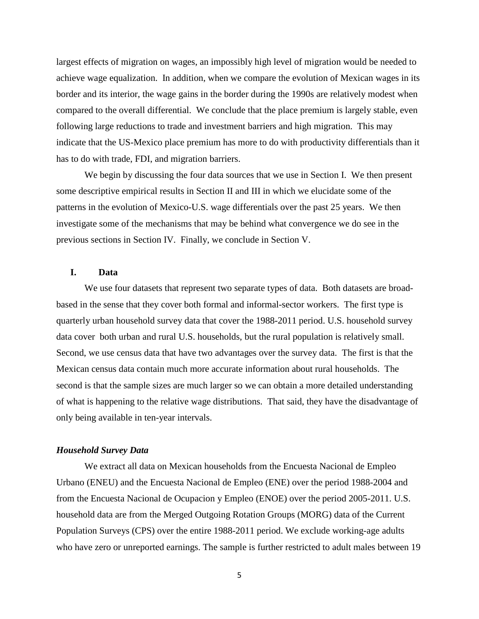largest effects of migration on wages, an impossibly high level of migration would be needed to achieve wage equalization. In addition, when we compare the evolution of Mexican wages in its border and its interior, the wage gains in the border during the 1990s are relatively modest when compared to the overall differential. We conclude that the place premium is largely stable, even following large reductions to trade and investment barriers and high migration. This may indicate that the US-Mexico place premium has more to do with productivity differentials than it has to do with trade, FDI, and migration barriers.

We begin by discussing the four data sources that we use in Section I. We then present some descriptive empirical results in Section II and III in which we elucidate some of the patterns in the evolution of Mexico-U.S. wage differentials over the past 25 years. We then investigate some of the mechanisms that may be behind what convergence we do see in the previous sections in Section IV. Finally, we conclude in Section V.

### **I. Data**

We use four datasets that represent two separate types of data. Both datasets are broadbased in the sense that they cover both formal and informal-sector workers. The first type is quarterly urban household survey data that cover the 1988-2011 period. U.S. household survey data cover both urban and rural U.S. households, but the rural population is relatively small. Second, we use census data that have two advantages over the survey data. The first is that the Mexican census data contain much more accurate information about rural households. The second is that the sample sizes are much larger so we can obtain a more detailed understanding of what is happening to the relative wage distributions. That said, they have the disadvantage of only being available in ten-year intervals.

#### *Household Survey Data*

We extract all data on Mexican households from the Encuesta Nacional de Empleo Urbano (ENEU) and the Encuesta Nacional de Empleo (ENE) over the period 1988-2004 and from the Encuesta Nacional de Ocupacion y Empleo (ENOE) over the period 2005-2011. U.S. household data are from the Merged Outgoing Rotation Groups (MORG) data of the Current Population Surveys (CPS) over the entire 1988-2011 period. We exclude working-age adults who have zero or unreported earnings. The sample is further restricted to adult males between 19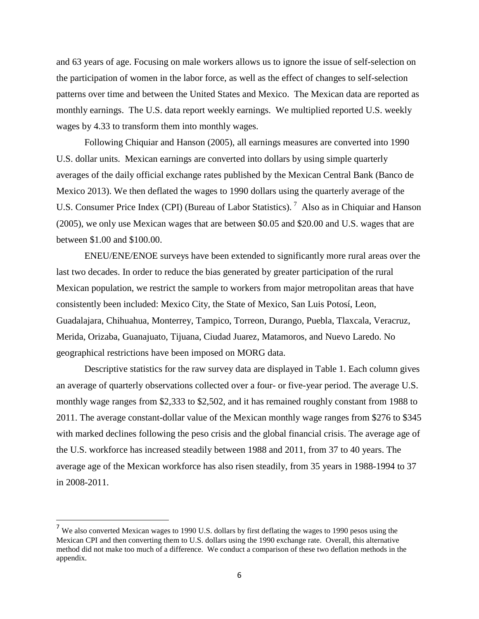and 63 years of age. Focusing on male workers allows us to ignore the issue of self-selection on the participation of women in the labor force, as well as the effect of changes to self-selection patterns over time and between the United States and Mexico. The Mexican data are reported as monthly earnings. The U.S. data report weekly earnings. We multiplied reported U.S. weekly wages by 4.33 to transform them into monthly wages.

Following Chiquiar and Hanson (2005), all earnings measures are converted into 1990 U.S. dollar units. Mexican earnings are converted into dollars by using simple quarterly averages of the daily official exchange rates published by the Mexican Central Bank (Banco de Mexico 2013). We then deflated the wages to 1990 dollars using the quarterly average of the U.S. Consumer Price Index (CPI) (Bureau of Labor Statistics).<sup>[7](#page-5-0)</sup> Also as in Chiquiar and Hanson (2005), we only use Mexican wages that are between \$0.05 and \$20.00 and U.S. wages that are between \$1.00 and \$100.00.

ENEU/ENE/ENOE surveys have been extended to significantly more rural areas over the last two decades. In order to reduce the bias generated by greater participation of the rural Mexican population, we restrict the sample to workers from major metropolitan areas that have consistently been included: Mexico City, the State of Mexico, San Luis Potosí, Leon, Guadalajara, Chihuahua, Monterrey, Tampico, Torreon, Durango, Puebla, Tlaxcala, Veracruz, Merida, Orizaba, Guanajuato, Tijuana, Ciudad Juarez, Matamoros, and Nuevo Laredo. No geographical restrictions have been imposed on MORG data.

Descriptive statistics for the raw survey data are displayed in Table 1. Each column gives an average of quarterly observations collected over a four- or five-year period. The average U.S. monthly wage ranges from \$2,333 to \$2,502, and it has remained roughly constant from 1988 to 2011. The average constant-dollar value of the Mexican monthly wage ranges from \$276 to \$345 with marked declines following the peso crisis and the global financial crisis. The average age of the U.S. workforce has increased steadily between 1988 and 2011, from 37 to 40 years. The average age of the Mexican workforce has also risen steadily, from 35 years in 1988-1994 to 37 in 2008-2011.

<span id="page-8-0"></span> $<sup>7</sup>$  We also converted Mexican wages to 1990 U.S. dollars by first deflating the wages to 1990 pesos using the</sup> Mexican CPI and then converting them to U.S. dollars using the 1990 exchange rate. Overall, this alternative method did not make too much of a difference. We conduct a comparison of these two deflation methods in the appendix.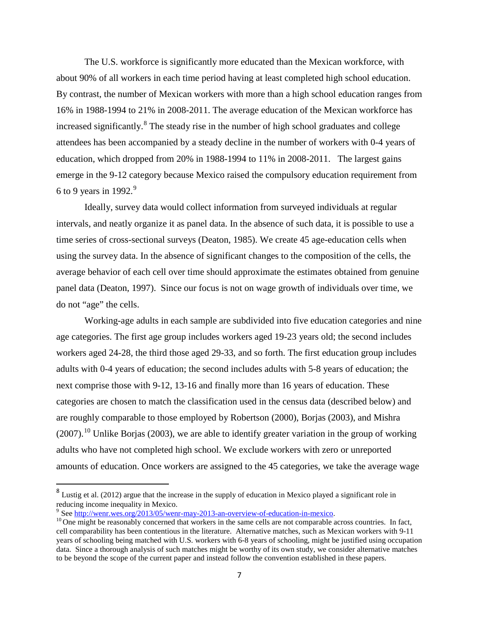The U.S. workforce is significantly more educated than the Mexican workforce, with about 90% of all workers in each time period having at least completed high school education. By contrast, the number of Mexican workers with more than a high school education ranges from 16% in 1988-1994 to 21% in 2008-2011. The average education of the Mexican workforce has increased significantly. <sup>[8](#page-8-0)</sup> The steady rise in the number of high school graduates and college attendees has been accompanied by a steady decline in the number of workers with 0-4 years of education, which dropped from 20% in 1988-1994 to 11% in 2008-2011. The largest gains emerge in the 9-12 category because Mexico raised the compulsory education requirement from 6 to [9](#page-9-0) years in 1992. $9$ 

Ideally, survey data would collect information from surveyed individuals at regular intervals, and neatly organize it as panel data. In the absence of such data, it is possible to use a time series of cross-sectional surveys (Deaton, 1985). We create 45 age-education cells when using the survey data. In the absence of significant changes to the composition of the cells, the average behavior of each cell over time should approximate the estimates obtained from genuine panel data (Deaton, 1997). Since our focus is not on wage growth of individuals over time, we do not "age" the cells.

Working-age adults in each sample are subdivided into five education categories and nine age categories. The first age group includes workers aged 19-23 years old; the second includes workers aged 24-28, the third those aged 29-33, and so forth. The first education group includes adults with 0-4 years of education; the second includes adults with 5-8 years of education; the next comprise those with 9-12, 13-16 and finally more than 16 years of education. These categories are chosen to match the classification used in the census data (described below) and are roughly comparable to those employed by Robertson (2000), Borjas (2003), and Mishra  $(2007)$ .<sup>[10](#page-9-1)</sup> Unlike Borjas (2003), we are able to identify greater variation in the group of working adults who have not completed high school. We exclude workers with zero or unreported amounts of education. Once workers are assigned to the 45 categories, we take the average wage

<span id="page-9-2"></span> $8$  Lustig et al. (2012) argue that the increase in the supply of education in Mexico played a significant role in reducing income inequality in Mexico.<br><sup>9</sup> See http://wenr.wes.org/2013/05/wenr-may-2013-an-overview-of-education-in-mexico.

<span id="page-9-0"></span>

<span id="page-9-1"></span> $^{10}$  One might be reasonably concerned that workers in the same cells are not comparable across countries. In fact, cell comparability has been contentious in the literature. Alternative matches, such as Mexican workers with 9-11 years of schooling being matched with U.S. workers with 6-8 years of schooling, might be justified using occupation data. Since a thorough analysis of such matches might be worthy of its own study, we consider alternative matches to be beyond the scope of the current paper and instead follow the convention established in these papers.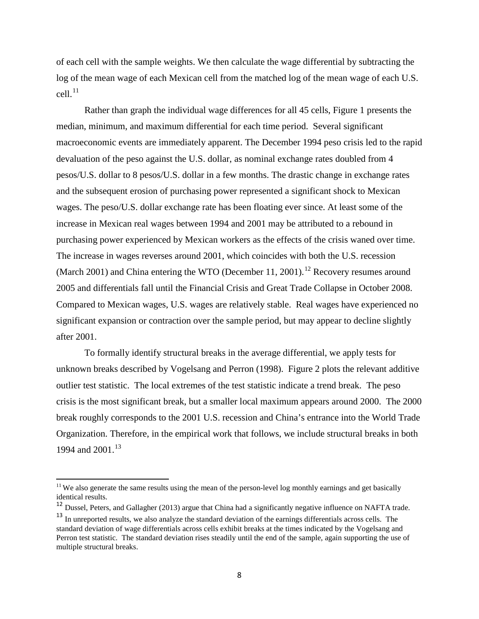of each cell with the sample weights. We then calculate the wage differential by subtracting the log of the mean wage of each Mexican cell from the matched log of the mean wage of each U.S.  $cell.<sup>11</sup>$  $cell.<sup>11</sup>$  $cell.<sup>11</sup>$ 

Rather than graph the individual wage differences for all 45 cells, Figure 1 presents the median, minimum, and maximum differential for each time period. Several significant macroeconomic events are immediately apparent. The December 1994 peso crisis led to the rapid devaluation of the peso against the U.S. dollar, as nominal exchange rates doubled from 4 pesos/U.S. dollar to 8 pesos/U.S. dollar in a few months. The drastic change in exchange rates and the subsequent erosion of purchasing power represented a significant shock to Mexican wages. The peso/U.S. dollar exchange rate has been floating ever since. At least some of the increase in Mexican real wages between 1994 and 2001 may be attributed to a rebound in purchasing power experienced by Mexican workers as the effects of the crisis waned over time. The increase in wages reverses around 2001, which coincides with both the U.S. recession (March 2001) and China entering the WTO (December 11, 2001).<sup>[12](#page-10-0)</sup> Recovery resumes around 2005 and differentials fall until the Financial Crisis and Great Trade Collapse in October 2008. Compared to Mexican wages, U.S. wages are relatively stable. Real wages have experienced no significant expansion or contraction over the sample period, but may appear to decline slightly after 2001.

To formally identify structural breaks in the average differential, we apply tests for unknown breaks described by Vogelsang and Perron (1998). Figure 2 plots the relevant additive outlier test statistic. The local extremes of the test statistic indicate a trend break. The peso crisis is the most significant break, but a smaller local maximum appears around 2000. The 2000 break roughly corresponds to the 2001 U.S. recession and China's entrance into the World Trade Organization. Therefore, in the empirical work that follows, we include structural breaks in both 1994 and  $2001$ .<sup>[13](#page-10-1)</sup>

 $11$  We also generate the same results using the mean of the person-level log monthly earnings and get basically identical results.

<span id="page-10-0"></span><sup>&</sup>lt;sup>12</sup> Dussel, Peters, and Gallagher (2013) argue that China had a significantly negative influence on NAFTA trade.

<span id="page-10-2"></span><span id="page-10-1"></span><sup>&</sup>lt;sup>13</sup> In unreported results, we also analyze the standard deviation of the earnings differentials across cells. The standard deviation of wage differentials across cells exhibit breaks at the times indicated by the Vogelsang and Perron test statistic. The standard deviation rises steadily until the end of the sample, again supporting the use of multiple structural breaks.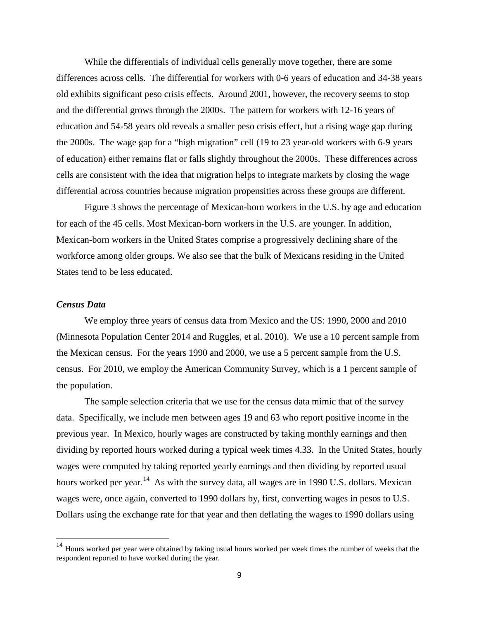While the differentials of individual cells generally move together, there are some differences across cells. The differential for workers with 0-6 years of education and 34-38 years old exhibits significant peso crisis effects. Around 2001, however, the recovery seems to stop and the differential grows through the 2000s. The pattern for workers with 12-16 years of education and 54-58 years old reveals a smaller peso crisis effect, but a rising wage gap during the 2000s. The wage gap for a "high migration" cell (19 to 23 year-old workers with 6-9 years of education) either remains flat or falls slightly throughout the 2000s. These differences across cells are consistent with the idea that migration helps to integrate markets by closing the wage differential across countries because migration propensities across these groups are different.

Figure 3 shows the percentage of Mexican-born workers in the U.S. by age and education for each of the 45 cells. Most Mexican-born workers in the U.S. are younger. In addition, Mexican-born workers in the United States comprise a progressively declining share of the workforce among older groups. We also see that the bulk of Mexicans residing in the United States tend to be less educated.

#### *Census Data*

We employ three years of census data from Mexico and the US: 1990, 2000 and 2010 (Minnesota Population Center 2014 and Ruggles, et al. 2010). We use a 10 percent sample from the Mexican census. For the years 1990 and 2000, we use a 5 percent sample from the U.S. census. For 2010, we employ the American Community Survey, which is a 1 percent sample of the population.

The sample selection criteria that we use for the census data mimic that of the survey data. Specifically, we include men between ages 19 and 63 who report positive income in the previous year. In Mexico, hourly wages are constructed by taking monthly earnings and then dividing by reported hours worked during a typical week times 4.33. In the United States, hourly wages were computed by taking reported yearly earnings and then dividing by reported usual hours worked per year.<sup>[14](#page-10-2)</sup> As with the survey data, all wages are in 1990 U.S. dollars. Mexican wages were, once again, converted to 1990 dollars by, first, converting wages in pesos to U.S. Dollars using the exchange rate for that year and then deflating the wages to 1990 dollars using

<span id="page-11-0"></span><sup>&</sup>lt;sup>14</sup> Hours worked per year were obtained by taking usual hours worked per week times the number of weeks that the respondent reported to have worked during the year.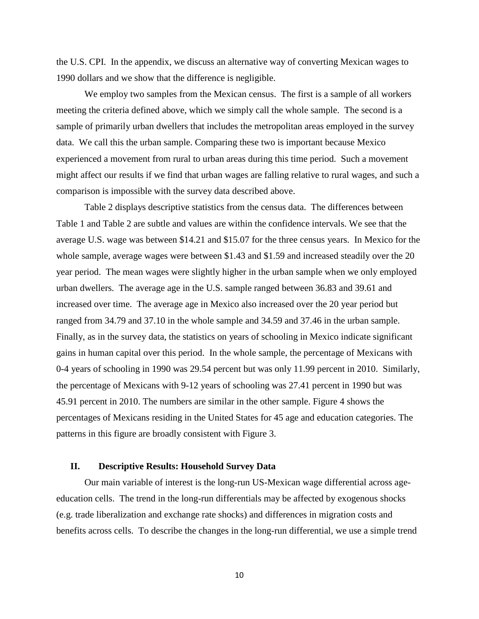the U.S. CPI. In the appendix, we discuss an alternative way of converting Mexican wages to 1990 dollars and we show that the difference is negligible.

We employ two samples from the Mexican census. The first is a sample of all workers meeting the criteria defined above, which we simply call the whole sample. The second is a sample of primarily urban dwellers that includes the metropolitan areas employed in the survey data. We call this the urban sample. Comparing these two is important because Mexico experienced a movement from rural to urban areas during this time period. Such a movement might affect our results if we find that urban wages are falling relative to rural wages, and such a comparison is impossible with the survey data described above.

Table 2 displays descriptive statistics from the census data. The differences between Table 1 and Table 2 are subtle and values are within the confidence intervals. We see that the average U.S. wage was between \$14.21 and \$15.07 for the three census years. In Mexico for the whole sample, average wages were between \$1.43 and \$1.59 and increased steadily over the 20 year period. The mean wages were slightly higher in the urban sample when we only employed urban dwellers. The average age in the U.S. sample ranged between 36.83 and 39.61 and increased over time. The average age in Mexico also increased over the 20 year period but ranged from 34.79 and 37.10 in the whole sample and 34.59 and 37.46 in the urban sample. Finally, as in the survey data, the statistics on years of schooling in Mexico indicate significant gains in human capital over this period. In the whole sample, the percentage of Mexicans with 0-4 years of schooling in 1990 was 29.54 percent but was only 11.99 percent in 2010. Similarly, the percentage of Mexicans with 9-12 years of schooling was 27.41 percent in 1990 but was 45.91 percent in 2010. The numbers are similar in the other sample. Figure 4 shows the percentages of Mexicans residing in the United States for 45 age and education categories. The patterns in this figure are broadly consistent with Figure 3.

#### **II. Descriptive Results: Household Survey Data**

Our main variable of interest is the long-run US-Mexican wage differential across ageeducation cells. The trend in the long-run differentials may be affected by exogenous shocks (e.g. trade liberalization and exchange rate shocks) and differences in migration costs and benefits across cells. To describe the changes in the long-run differential, we use a simple trend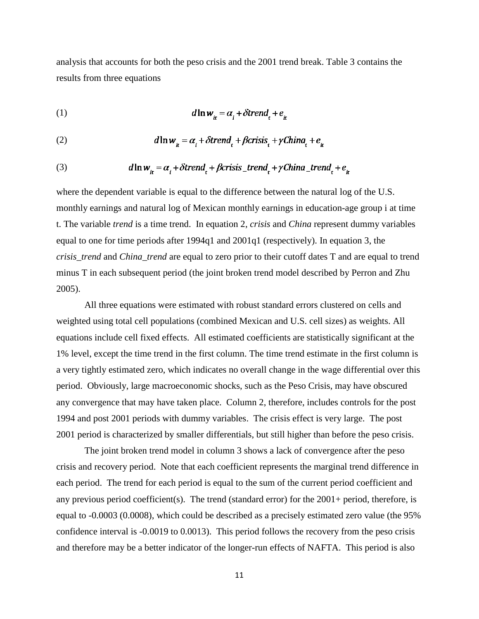analysis that accounts for both the peso crisis and the 2001 trend break. Table 3 contains the results from three equations

(1) 

(2) 
$$
d\ln w_{\mu} = \alpha_i + \delta \text{trend}_t + \beta \text{crisis}_t + \gamma \text{China}_t + e_{\mu}
$$

(3) 
$$
d\ln w_{it} = \alpha_i + \delta trend_t + \beta crisis\_trend_t + \gamma China\_trend_t + e_{it}
$$

where the dependent variable is equal to the difference between the natural log of the U.S. monthly earnings and natural log of Mexican monthly earnings in education-age group i at time t. The variable *trend* is a time trend. In equation 2, *crisis* and *China* represent dummy variables equal to one for time periods after 1994q1 and 2001q1 (respectively). In equation 3, the *crisis\_trend* and *China\_trend* are equal to zero prior to their cutoff dates T and are equal to trend minus T in each subsequent period (the joint broken trend model described by Perron and Zhu 2005).

All three equations were estimated with robust standard errors clustered on cells and weighted using total cell populations (combined Mexican and U.S. cell sizes) as weights. All equations include cell fixed effects. All estimated coefficients are statistically significant at the 1% level, except the time trend in the first column. The time trend estimate in the first column is a very tightly estimated zero, which indicates no overall change in the wage differential over this period. Obviously, large macroeconomic shocks, such as the Peso Crisis, may have obscured any convergence that may have taken place. Column 2, therefore, includes controls for the post 1994 and post 2001 periods with dummy variables. The crisis effect is very large. The post 2001 period is characterized by smaller differentials, but still higher than before the peso crisis.

The joint broken trend model in column 3 shows a lack of convergence after the peso crisis and recovery period. Note that each coefficient represents the marginal trend difference in each period. The trend for each period is equal to the sum of the current period coefficient and any previous period coefficient(s). The trend (standard error) for the 2001+ period, therefore, is equal to -0.0003 (0.0008), which could be described as a precisely estimated zero value (the 95% confidence interval is -0.0019 to 0.0013). This period follows the recovery from the peso crisis and therefore may be a better indicator of the longer-run effects of NAFTA. This period is also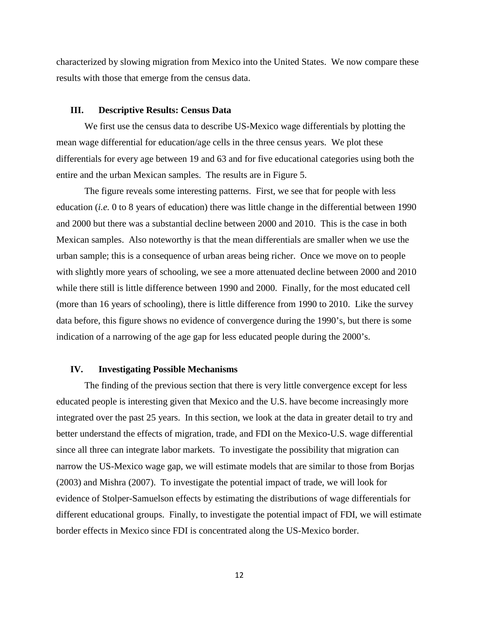characterized by slowing migration from Mexico into the United States. We now compare these results with those that emerge from the census data.

#### **III. Descriptive Results: Census Data**

We first use the census data to describe US-Mexico wage differentials by plotting the mean wage differential for education/age cells in the three census years. We plot these differentials for every age between 19 and 63 and for five educational categories using both the entire and the urban Mexican samples. The results are in Figure 5.

The figure reveals some interesting patterns. First, we see that for people with less education (*i.e.* 0 to 8 years of education) there was little change in the differential between 1990 and 2000 but there was a substantial decline between 2000 and 2010. This is the case in both Mexican samples. Also noteworthy is that the mean differentials are smaller when we use the urban sample; this is a consequence of urban areas being richer. Once we move on to people with slightly more years of schooling, we see a more attenuated decline between 2000 and 2010 while there still is little difference between 1990 and 2000. Finally, for the most educated cell (more than 16 years of schooling), there is little difference from 1990 to 2010. Like the survey data before, this figure shows no evidence of convergence during the 1990's, but there is some indication of a narrowing of the age gap for less educated people during the 2000's.

#### **IV. Investigating Possible Mechanisms**

The finding of the previous section that there is very little convergence except for less educated people is interesting given that Mexico and the U.S. have become increasingly more integrated over the past 25 years. In this section, we look at the data in greater detail to try and better understand the effects of migration, trade, and FDI on the Mexico-U.S. wage differential since all three can integrate labor markets. To investigate the possibility that migration can narrow the US-Mexico wage gap, we will estimate models that are similar to those from Borjas (2003) and Mishra (2007). To investigate the potential impact of trade, we will look for evidence of Stolper-Samuelson effects by estimating the distributions of wage differentials for different educational groups. Finally, to investigate the potential impact of FDI, we will estimate border effects in Mexico since FDI is concentrated along the US-Mexico border.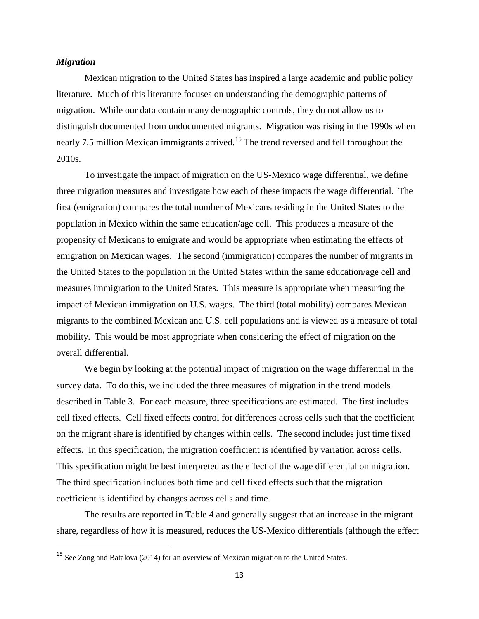#### *Migration*

Mexican migration to the United States has inspired a large academic and public policy literature. Much of this literature focuses on understanding the demographic patterns of migration. While our data contain many demographic controls, they do not allow us to distinguish documented from undocumented migrants. Migration was rising in the 1990s when nearly 7.5 million Mexican immigrants arrived.<sup>[15](#page-11-0)</sup> The trend reversed and fell throughout the 2010s.

To investigate the impact of migration on the US-Mexico wage differential, we define three migration measures and investigate how each of these impacts the wage differential. The first (emigration) compares the total number of Mexicans residing in the United States to the population in Mexico within the same education/age cell. This produces a measure of the propensity of Mexicans to emigrate and would be appropriate when estimating the effects of emigration on Mexican wages. The second (immigration) compares the number of migrants in the United States to the population in the United States within the same education/age cell and measures immigration to the United States. This measure is appropriate when measuring the impact of Mexican immigration on U.S. wages. The third (total mobility) compares Mexican migrants to the combined Mexican and U.S. cell populations and is viewed as a measure of total mobility. This would be most appropriate when considering the effect of migration on the overall differential.

We begin by looking at the potential impact of migration on the wage differential in the survey data. To do this, we included the three measures of migration in the trend models described in Table 3. For each measure, three specifications are estimated. The first includes cell fixed effects. Cell fixed effects control for differences across cells such that the coefficient on the migrant share is identified by changes within cells. The second includes just time fixed effects. In this specification, the migration coefficient is identified by variation across cells. This specification might be best interpreted as the effect of the wage differential on migration. The third specification includes both time and cell fixed effects such that the migration coefficient is identified by changes across cells and time.

<span id="page-15-0"></span>The results are reported in Table 4 and generally suggest that an increase in the migrant share, regardless of how it is measured, reduces the US-Mexico differentials (although the effect

 <sup>15</sup> See Zong and Batalova (2014) for an overview of Mexican migration to the United States.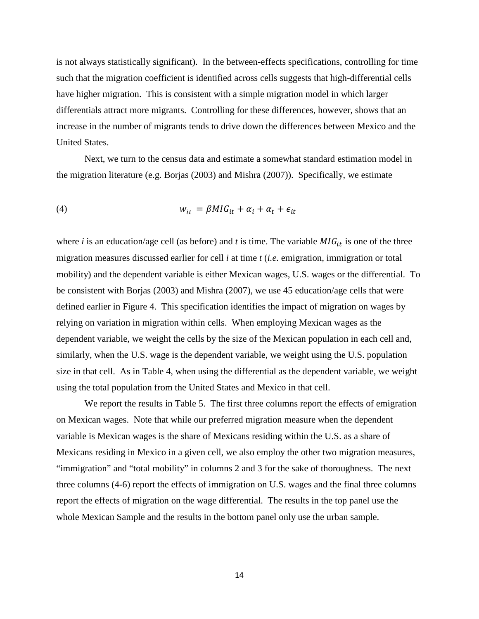is not always statistically significant). In the between-effects specifications, controlling for time such that the migration coefficient is identified across cells suggests that high-differential cells have higher migration. This is consistent with a simple migration model in which larger differentials attract more migrants. Controlling for these differences, however, shows that an increase in the number of migrants tends to drive down the differences between Mexico and the United States.

Next, we turn to the census data and estimate a somewhat standard estimation model in the migration literature (e.g. Borjas (2003) and Mishra (2007)). Specifically, we estimate

$$
(4) \t\t\t w_{it} = \beta M I G_{it} + \alpha_t + \epsilon_{it}
$$

where *i* is an education/age cell (as before) and *t* is time. The variable  $MIG_{it}$  is one of the three migration measures discussed earlier for cell *i* at time *t* (*i.e.* emigration, immigration or total mobility) and the dependent variable is either Mexican wages, U.S. wages or the differential. To be consistent with Borjas (2003) and Mishra (2007), we use 45 education/age cells that were defined earlier in Figure 4. This specification identifies the impact of migration on wages by relying on variation in migration within cells. When employing Mexican wages as the dependent variable, we weight the cells by the size of the Mexican population in each cell and, similarly, when the U.S. wage is the dependent variable, we weight using the U.S. population size in that cell. As in Table 4, when using the differential as the dependent variable, we weight using the total population from the United States and Mexico in that cell.

We report the results in Table 5. The first three columns report the effects of emigration on Mexican wages. Note that while our preferred migration measure when the dependent variable is Mexican wages is the share of Mexicans residing within the U.S. as a share of Mexicans residing in Mexico in a given cell, we also employ the other two migration measures, "immigration" and "total mobility" in columns 2 and 3 for the sake of thoroughness. The next three columns (4-6) report the effects of immigration on U.S. wages and the final three columns report the effects of migration on the wage differential. The results in the top panel use the whole Mexican Sample and the results in the bottom panel only use the urban sample.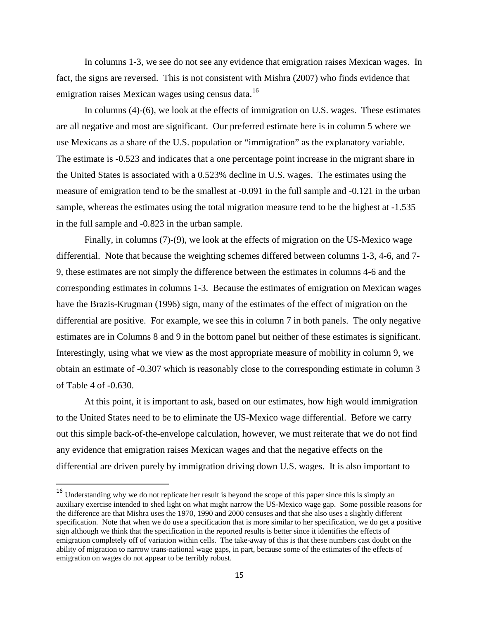In columns 1-3, we see do not see any evidence that emigration raises Mexican wages. In fact, the signs are reversed. This is not consistent with Mishra (2007) who finds evidence that emigration raises Mexican wages using census data.<sup>[16](#page-15-0)</sup>

In columns (4)-(6), we look at the effects of immigration on U.S. wages. These estimates are all negative and most are significant. Our preferred estimate here is in column 5 where we use Mexicans as a share of the U.S. population or "immigration" as the explanatory variable. The estimate is -0.523 and indicates that a one percentage point increase in the migrant share in the United States is associated with a 0.523% decline in U.S. wages. The estimates using the measure of emigration tend to be the smallest at -0.091 in the full sample and -0.121 in the urban sample, whereas the estimates using the total migration measure tend to be the highest at -1.535 in the full sample and -0.823 in the urban sample.

Finally, in columns (7)-(9), we look at the effects of migration on the US-Mexico wage differential. Note that because the weighting schemes differed between columns 1-3, 4-6, and 7- 9, these estimates are not simply the difference between the estimates in columns 4-6 and the corresponding estimates in columns 1-3. Because the estimates of emigration on Mexican wages have the Brazis-Krugman (1996) sign, many of the estimates of the effect of migration on the differential are positive. For example, we see this in column 7 in both panels. The only negative estimates are in Columns 8 and 9 in the bottom panel but neither of these estimates is significant. Interestingly, using what we view as the most appropriate measure of mobility in column 9, we obtain an estimate of -0.307 which is reasonably close to the corresponding estimate in column 3 of Table 4 of -0.630.

At this point, it is important to ask, based on our estimates, how high would immigration to the United States need to be to eliminate the US-Mexico wage differential. Before we carry out this simple back-of-the-envelope calculation, however, we must reiterate that we do not find any evidence that emigration raises Mexican wages and that the negative effects on the differential are driven purely by immigration driving down U.S. wages. It is also important to

<span id="page-17-0"></span><sup>&</sup>lt;sup>16</sup> Understanding why we do not replicate her result is beyond the scope of this paper since this is simply an auxiliary exercise intended to shed light on what might narrow the US-Mexico wage gap. Some possible reasons for the difference are that Mishra uses the 1970, 1990 and 2000 censuses and that she also uses a slightly different specification. Note that when we do use a specification that is more similar to her specification, we do get a positive sign although we think that the specification in the reported results is better since it identifies the effects of emigration completely off of variation within cells. The take-away of this is that these numbers cast doubt on the ability of migration to narrow trans-national wage gaps, in part, because some of the estimates of the effects of emigration on wages do not appear to be terribly robust.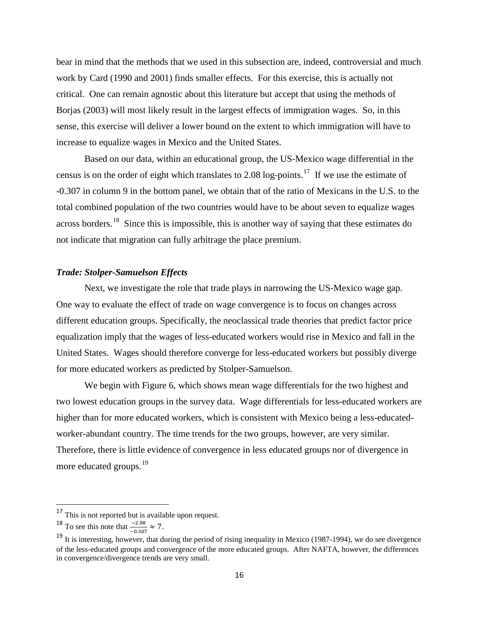bear in mind that the methods that we used in this subsection are, indeed, controversial and much work by Card (1990 and 2001) finds smaller effects. For this exercise, this is actually not critical. One can remain agnostic about this literature but accept that using the methods of Borjas (2003) will most likely result in the largest effects of immigration wages. So, in this sense, this exercise will deliver a lower bound on the extent to which immigration will have to increase to equalize wages in Mexico and the United States.

Based on our data, within an educational group, the US-Mexico wage differential in the census is on the order of eight which translates to 2.08 log-points.[17](#page-17-0) If we use the estimate of -0.307 in column 9 in the bottom panel, we obtain that of the ratio of Mexicans in the U.S. to the total combined population of the two countries would have to be about seven to equalize wages across borders.<sup>18</sup> Since this is impossible, this is another way of saying that these estimates do not indicate that migration can fully arbitrage the place premium.

#### *Trade: Stolper-Samuelson Effects*

Next, we investigate the role that trade plays in narrowing the US-Mexico wage gap. One way to evaluate the effect of trade on wage convergence is to focus on changes across different education groups. Specifically, the neoclassical trade theories that predict factor price equalization imply that the wages of less-educated workers would rise in Mexico and fall in the United States. Wages should therefore converge for less-educated workers but possibly diverge for more educated workers as predicted by Stolper-Samuelson.

We begin with Figure 6, which shows mean wage differentials for the two highest and two lowest education groups in the survey data. Wage differentials for less-educated workers are higher than for more educated workers, which is consistent with Mexico being a less-educatedworker-abundant country. The time trends for the two groups, however, are very similar. Therefore, there is little evidence of convergence in less educated groups nor of divergence in more educated groups.<sup>19</sup>

<sup>&</sup>lt;sup>17</sup> This is not reported but is available upon request.

<span id="page-18-0"></span><sup>&</sup>lt;sup>18</sup> To see this note that  $\frac{-2.08}{-0.307} \approx 7$ .

<span id="page-18-2"></span><span id="page-18-1"></span> $19$  It is interesting, however, that during the period of rising inequality in Mexico (1987-1994), we do see divergence of the less-educated groups and convergence of the more educated groups. After NAFTA, however, the differences in convergence/divergence trends are very small.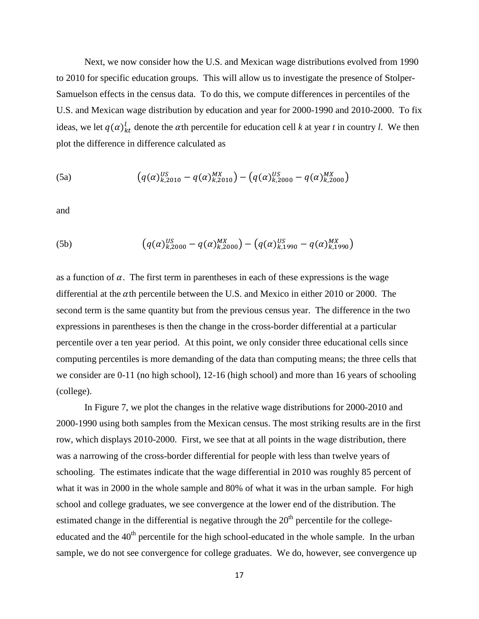Next, we now consider how the U.S. and Mexican wage distributions evolved from 1990 to 2010 for specific education groups. This will allow us to investigate the presence of Stolper-Samuelson effects in the census data. To do this, we compute differences in percentiles of the U.S. and Mexican wage distribution by education and year for 2000-1990 and 2010-2000. To fix ideas, we let  $q(\alpha)_{kt}^{l}$  denote the  $\alpha$ th percentile for education cell *k* at year *t* in country *l*. We then plot the difference in difference calculated as

(5a) 
$$
\left(q(\alpha)_{k,2010}^{US} - q(\alpha)_{k,2010}^{MX}\right) - \left(q(\alpha)_{k,2000}^{US} - q(\alpha)_{k,2000}^{MX}\right)
$$

and

(5b) 
$$
\left(q(\alpha)_{k,2000}^{US} - q(\alpha)_{k,2000}^{MX}\right) - \left(q(\alpha)_{k,1990}^{US} - q(\alpha)_{k,1990}^{MX}\right)
$$

as a function of  $\alpha$ . The first term in parentheses in each of these expressions is the wage differential at the  $\alpha$ th percentile between the U.S. and Mexico in either 2010 or 2000. The second term is the same quantity but from the previous census year. The difference in the two expressions in parentheses is then the change in the cross-border differential at a particular percentile over a ten year period. At this point, we only consider three educational cells since computing percentiles is more demanding of the data than computing means; the three cells that we consider are 0-11 (no high school), 12-16 (high school) and more than 16 years of schooling (college).

In Figure 7, we plot the changes in the relative wage distributions for 2000-2010 and 2000-1990 using both samples from the Mexican census. The most striking results are in the first row, which displays 2010-2000. First, we see that at all points in the wage distribution, there was a narrowing of the cross-border differential for people with less than twelve years of schooling. The estimates indicate that the wage differential in 2010 was roughly 85 percent of what it was in 2000 in the whole sample and 80% of what it was in the urban sample. For high school and college graduates, we see convergence at the lower end of the distribution. The estimated change in the differential is negative through the  $20<sup>th</sup>$  percentile for the collegeeducated and the 40<sup>th</sup> percentile for the high school-educated in the whole sample. In the urban sample, we do not see convergence for college graduates. We do, however, see convergence up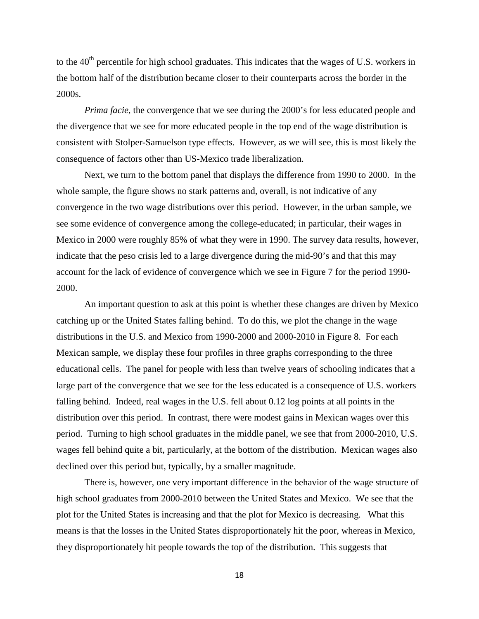to the  $40<sup>th</sup>$  percentile for high school graduates. This indicates that the wages of U.S. workers in the bottom half of the distribution became closer to their counterparts across the border in the 2000s.

*Prima facie*, the convergence that we see during the 2000's for less educated people and the divergence that we see for more educated people in the top end of the wage distribution is consistent with Stolper-Samuelson type effects. However, as we will see, this is most likely the consequence of factors other than US-Mexico trade liberalization.

Next, we turn to the bottom panel that displays the difference from 1990 to 2000. In the whole sample, the figure shows no stark patterns and, overall, is not indicative of any convergence in the two wage distributions over this period. However, in the urban sample, we see some evidence of convergence among the college-educated; in particular, their wages in Mexico in 2000 were roughly 85% of what they were in 1990. The survey data results, however, indicate that the peso crisis led to a large divergence during the mid-90's and that this may account for the lack of evidence of convergence which we see in Figure 7 for the period 1990- 2000.

An important question to ask at this point is whether these changes are driven by Mexico catching up or the United States falling behind. To do this, we plot the change in the wage distributions in the U.S. and Mexico from 1990-2000 and 2000-2010 in Figure 8. For each Mexican sample, we display these four profiles in three graphs corresponding to the three educational cells. The panel for people with less than twelve years of schooling indicates that a large part of the convergence that we see for the less educated is a consequence of U.S. workers falling behind. Indeed, real wages in the U.S. fell about 0.12 log points at all points in the distribution over this period. In contrast, there were modest gains in Mexican wages over this period. Turning to high school graduates in the middle panel, we see that from 2000-2010, U.S. wages fell behind quite a bit, particularly, at the bottom of the distribution. Mexican wages also declined over this period but, typically, by a smaller magnitude.

There is, however, one very important difference in the behavior of the wage structure of high school graduates from 2000-2010 between the United States and Mexico. We see that the plot for the United States is increasing and that the plot for Mexico is decreasing. What this means is that the losses in the United States disproportionately hit the poor, whereas in Mexico, they disproportionately hit people towards the top of the distribution. This suggests that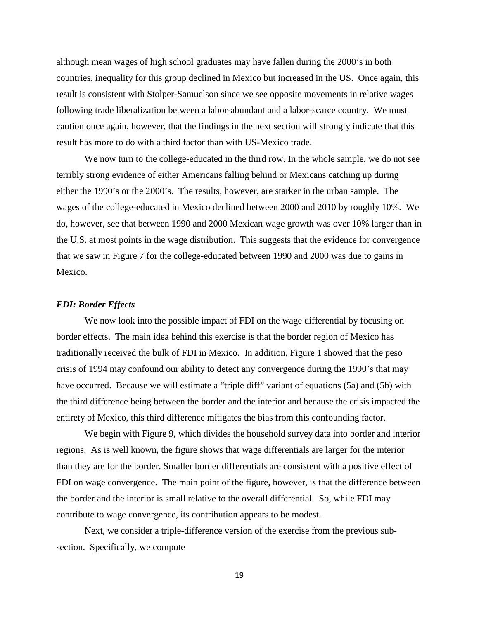although mean wages of high school graduates may have fallen during the 2000's in both countries, inequality for this group declined in Mexico but increased in the US. Once again, this result is consistent with Stolper-Samuelson since we see opposite movements in relative wages following trade liberalization between a labor-abundant and a labor-scarce country. We must caution once again, however, that the findings in the next section will strongly indicate that this result has more to do with a third factor than with US-Mexico trade.

We now turn to the college-educated in the third row. In the whole sample, we do not see terribly strong evidence of either Americans falling behind or Mexicans catching up during either the 1990's or the 2000's. The results, however, are starker in the urban sample. The wages of the college-educated in Mexico declined between 2000 and 2010 by roughly 10%. We do, however, see that between 1990 and 2000 Mexican wage growth was over 10% larger than in the U.S. at most points in the wage distribution. This suggests that the evidence for convergence that we saw in Figure 7 for the college-educated between 1990 and 2000 was due to gains in Mexico.

#### *FDI: Border Effects*

We now look into the possible impact of FDI on the wage differential by focusing on border effects. The main idea behind this exercise is that the border region of Mexico has traditionally received the bulk of FDI in Mexico. In addition, Figure 1 showed that the peso crisis of 1994 may confound our ability to detect any convergence during the 1990's that may have occurred. Because we will estimate a "triple diff" variant of equations (5a) and (5b) with the third difference being between the border and the interior and because the crisis impacted the entirety of Mexico, this third difference mitigates the bias from this confounding factor.

We begin with Figure 9, which divides the household survey data into border and interior regions. As is well known, the figure shows that wage differentials are larger for the interior than they are for the border. Smaller border differentials are consistent with a positive effect of FDI on wage convergence. The main point of the figure, however, is that the difference between the border and the interior is small relative to the overall differential. So, while FDI may contribute to wage convergence, its contribution appears to be modest.

Next, we consider a triple-difference version of the exercise from the previous subsection. Specifically, we compute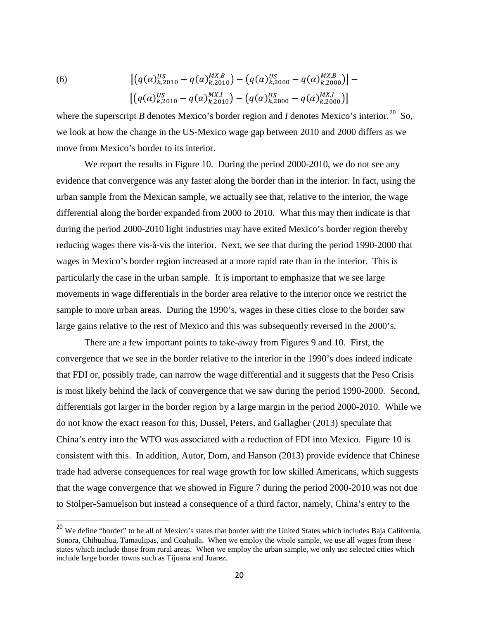(6) 
$$
\left[ \left( q(\alpha)_{k,2010}^{US} - q(\alpha)_{k,2010}^{MX,B} \right) - \left( q(\alpha)_{k,2000}^{US} - q(\alpha)_{k,2000}^{MX,B} \right) \right] - \left[ \left( q(\alpha)_{k,2010}^{US} - q(\alpha)_{k,2010}^{MX,I} \right) - \left( q(\alpha)_{k,2000}^{US} - q(\alpha)_{k,2000}^{MX,I} \right) \right]
$$

where the superscript *B* denotes Mexico's border region and *I* denotes Mexico's interior.<sup>[20](#page-18-2)</sup> So, we look at how the change in the US-Mexico wage gap between 2010 and 2000 differs as we move from Mexico's border to its interior.

We report the results in Figure 10. During the period 2000-2010, we do not see any evidence that convergence was any faster along the border than in the interior. In fact, using the urban sample from the Mexican sample, we actually see that, relative to the interior, the wage differential along the border expanded from 2000 to 2010. What this may then indicate is that during the period 2000-2010 light industries may have exited Mexico's border region thereby reducing wages there vis-à-vis the interior. Next, we see that during the period 1990-2000 that wages in Mexico's border region increased at a more rapid rate than in the interior. This is particularly the case in the urban sample. It is important to emphasize that we see large movements in wage differentials in the border area relative to the interior once we restrict the sample to more urban areas. During the 1990's, wages in these cities close to the border saw large gains relative to the rest of Mexico and this was subsequently reversed in the 2000's.

There are a few important points to take-away from Figures 9 and 10. First, the convergence that we see in the border relative to the interior in the 1990's does indeed indicate that FDI or, possibly trade, can narrow the wage differential and it suggests that the Peso Crisis is most likely behind the lack of convergence that we saw during the period 1990-2000. Second, differentials got larger in the border region by a large margin in the period 2000-2010. While we do not know the exact reason for this, Dussel, Peters, and Gallagher (2013) speculate that China's entry into the WTO was associated with a reduction of FDI into Mexico. Figure 10 is consistent with this. In addition, Autor, Dorn, and Hanson (2013) provide evidence that Chinese trade had adverse consequences for real wage growth for low skilled Americans, which suggests that the wage convergence that we showed in Figure 7 during the period 2000-2010 was not due to Stolper-Samuelson but instead a consequence of a third factor, namely, China's entry to the

<sup>&</sup>lt;sup>20</sup> We define "border" to be all of Mexico's states that border with the United States which includes Baja California, Sonora, Chihuahua, Tamaulipas, and Coahuila. When we employ the whole sample, we use all wages from these states which include those from rural areas. When we employ the urban sample, we only use selected cities which include large border towns such as Tijuana and Juarez.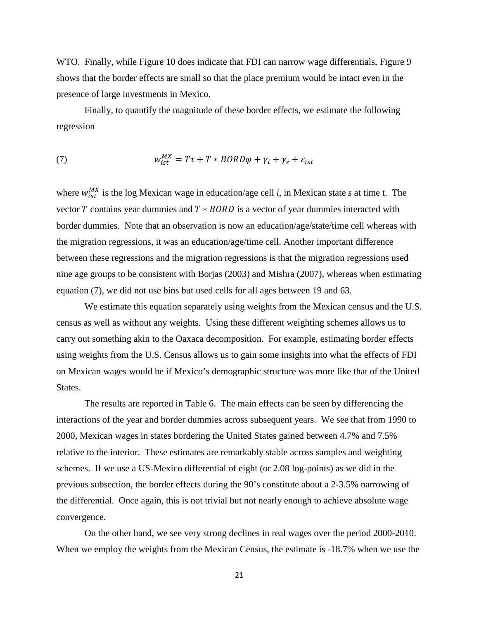WTO. Finally, while Figure 10 does indicate that FDI can narrow wage differentials, Figure 9 shows that the border effects are small so that the place premium would be intact even in the presence of large investments in Mexico.

Finally, to quantify the magnitude of these border effects, we estimate the following regression

(7) 
$$
w_{ist}^{MX} = T\tau + T * BORD\varphi + \gamma_i + \gamma_s + \varepsilon_{ist}
$$

where  $w_{ist}^{MX}$  is the log Mexican wage in education/age cell *i*, in Mexican state *s* at time t. The vector  $T$  contains year dummies and  $T * BORD$  is a vector of year dummies interacted with border dummies. Note that an observation is now an education/age/state/time cell whereas with the migration regressions, it was an education/age/time cell. Another important difference between these regressions and the migration regressions is that the migration regressions used nine age groups to be consistent with Borjas (2003) and Mishra (2007), whereas when estimating equation (7), we did not use bins but used cells for all ages between 19 and 63.

We estimate this equation separately using weights from the Mexican census and the U.S. census as well as without any weights. Using these different weighting schemes allows us to carry out something akin to the Oaxaca decomposition. For example, estimating border effects using weights from the U.S. Census allows us to gain some insights into what the effects of FDI on Mexican wages would be if Mexico's demographic structure was more like that of the United States.

The results are reported in Table 6. The main effects can be seen by differencing the interactions of the year and border dummies across subsequent years. We see that from 1990 to 2000, Mexican wages in states bordering the United States gained between 4.7% and 7.5% relative to the interior. These estimates are remarkably stable across samples and weighting schemes. If we use a US-Mexico differential of eight (or 2.08 log-points) as we did in the previous subsection, the border effects during the 90's constitute about a 2-3.5% narrowing of the differential. Once again, this is not trivial but not nearly enough to achieve absolute wage convergence.

On the other hand, we see very strong declines in real wages over the period 2000-2010. When we employ the weights from the Mexican Census, the estimate is -18.7% when we use the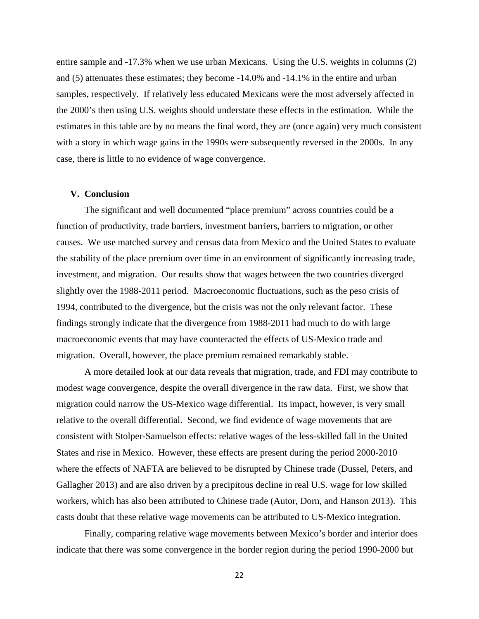entire sample and -17.3% when we use urban Mexicans. Using the U.S. weights in columns (2) and (5) attenuates these estimates; they become -14.0% and -14.1% in the entire and urban samples, respectively. If relatively less educated Mexicans were the most adversely affected in the 2000's then using U.S. weights should understate these effects in the estimation. While the estimates in this table are by no means the final word, they are (once again) very much consistent with a story in which wage gains in the 1990s were subsequently reversed in the 2000s. In any case, there is little to no evidence of wage convergence.

#### **V. Conclusion**

The significant and well documented "place premium" across countries could be a function of productivity, trade barriers, investment barriers, barriers to migration, or other causes. We use matched survey and census data from Mexico and the United States to evaluate the stability of the place premium over time in an environment of significantly increasing trade, investment, and migration. Our results show that wages between the two countries diverged slightly over the 1988-2011 period. Macroeconomic fluctuations, such as the peso crisis of 1994, contributed to the divergence, but the crisis was not the only relevant factor. These findings strongly indicate that the divergence from 1988-2011 had much to do with large macroeconomic events that may have counteracted the effects of US-Mexico trade and migration. Overall, however, the place premium remained remarkably stable.

A more detailed look at our data reveals that migration, trade, and FDI may contribute to modest wage convergence, despite the overall divergence in the raw data. First, we show that migration could narrow the US-Mexico wage differential. Its impact, however, is very small relative to the overall differential. Second, we find evidence of wage movements that are consistent with Stolper-Samuelson effects: relative wages of the less-skilled fall in the United States and rise in Mexico. However, these effects are present during the period 2000-2010 where the effects of NAFTA are believed to be disrupted by Chinese trade (Dussel, Peters, and Gallagher 2013) and are also driven by a precipitous decline in real U.S. wage for low skilled workers, which has also been attributed to Chinese trade (Autor, Dorn, and Hanson 2013). This casts doubt that these relative wage movements can be attributed to US-Mexico integration.

Finally, comparing relative wage movements between Mexico's border and interior does indicate that there was some convergence in the border region during the period 1990-2000 but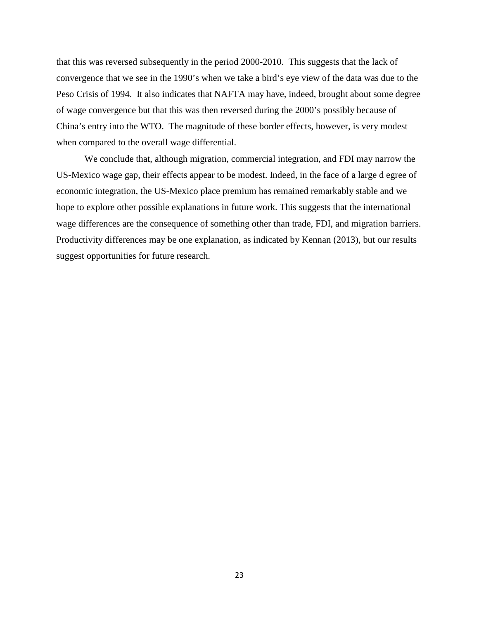that this was reversed subsequently in the period 2000-2010. This suggests that the lack of convergence that we see in the 1990's when we take a bird's eye view of the data was due to the Peso Crisis of 1994. It also indicates that NAFTA may have, indeed, brought about some degree of wage convergence but that this was then reversed during the 2000's possibly because of China's entry into the WTO. The magnitude of these border effects, however, is very modest when compared to the overall wage differential.

We conclude that, although migration, commercial integration, and FDI may narrow the US-Mexico wage gap, their effects appear to be modest. Indeed, in the face of a large d egree of economic integration, the US-Mexico place premium has remained remarkably stable and we hope to explore other possible explanations in future work. This suggests that the international wage differences are the consequence of something other than trade, FDI, and migration barriers. Productivity differences may be one explanation, as indicated by Kennan (2013), but our results suggest opportunities for future research.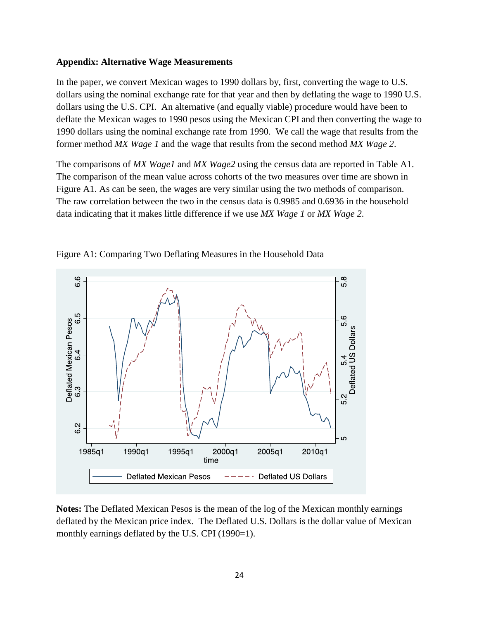#### **Appendix: Alternative Wage Measurements**

In the paper, we convert Mexican wages to 1990 dollars by, first, converting the wage to U.S. dollars using the nominal exchange rate for that year and then by deflating the wage to 1990 U.S. dollars using the U.S. CPI. An alternative (and equally viable) procedure would have been to deflate the Mexican wages to 1990 pesos using the Mexican CPI and then converting the wage to 1990 dollars using the nominal exchange rate from 1990. We call the wage that results from the former method *MX Wage 1* and the wage that results from the second method *MX Wage 2*.

The comparisons of *MX Wage1* and *MX Wage2* using the census data are reported in Table A1. The comparison of the mean value across cohorts of the two measures over time are shown in Figure A1. As can be seen, the wages are very similar using the two methods of comparison. The raw correlation between the two in the census data is 0.9985 and 0.6936 in the household data indicating that it makes little difference if we use *MX Wage 1* or *MX Wage 2*.



Figure A1: Comparing Two Deflating Measures in the Household Data

**Notes:** The Deflated Mexican Pesos is the mean of the log of the Mexican monthly earnings deflated by the Mexican price index. The Deflated U.S. Dollars is the dollar value of Mexican monthly earnings deflated by the U.S. CPI (1990=1).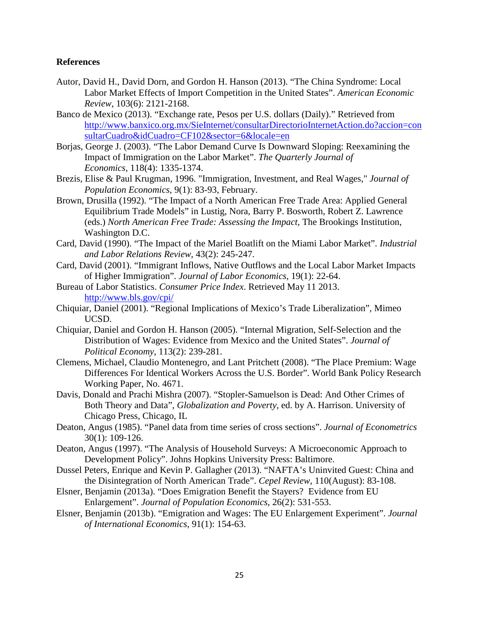#### **References**

- Autor, David H., David Dorn, and Gordon H. Hanson (2013). "The China Syndrome: Local Labor Market Effects of Import Competition in the United States". *American Economic Review*, 103(6): 2121-2168.
- Banco de Mexico (2013). "Exchange rate, Pesos per U.S. dollars (Daily)." Retrieved from [http://www.banxico.org.mx/SieInternet/consultarDirectorioInternetAction.do?accion=con](http://www.banxico.org.mx/SieInternet/consultarDirectorioInternetAction.do?accion=consultarCuadro&idCuadro=CF102§or=6&locale=en) sultarCuadro&idCuadro=CF102&sector=6&locale=en
- Borjas, George J. (2003). "The Labor Demand Curve Is Downward Sloping: Reexamining the Impact of Immigration on the Labor Market". *The Quarterly Journal of Economics,* 118(4): 1335-1374.
- Brezis, Elise & Paul Krugman, 1996. ["Immigration, Investment, and Real Wages,](https://ideas.repec.org/a/spr/jopoec/v9y1996i1p83-93.html)" *[Journal of](https://ideas.repec.org/s/spr/jopoec.html)  [Population Economics](https://ideas.repec.org/s/spr/jopoec.html)*, 9(1): 83-93, February.
- Brown, Drusilla (1992). "The Impact of a North American Free Trade Area: Applied General Equilibrium Trade Models" in Lustig, Nora, Barry P. Bosworth, Robert Z. Lawrence (eds.) *North American Free Trade: Assessing the Impact,* The Brookings Institution, Washington D.C.
- Card, David (1990). "The Impact of the Mariel Boatlift on the Miami Labor Market". *Industrial and Labor Relations Review*, 43(2): 245-247.
- Card, David (2001). "Immigrant Inflows, Native Outflows and the Local Labor Market Impacts of Higher Immigration". *Journal of Labor Economics*, 19(1): 22-64.
- Bureau of Labor Statistics. *Consumer Price Index*. Retrieved May 11 2013. <http://www.bls.gov/cpi/>
- Chiquiar, Daniel (2001). "Regional Implications of Mexico's Trade Liberalization", Mimeo UCSD.
- Chiquiar, Daniel and Gordon H. Hanson (2005). "Internal Migration, Self-Selection and the Distribution of Wages: Evidence from Mexico and the United States". *Journal of Political Economy*, 113(2): 239-281.
- Clemens, Michael, Claudio Montenegro, and Lant Pritchett (2008). "The Place Premium: Wage Differences For Identical Workers Across the U.S. Border". World Bank Policy Research Working Paper, No. 4671.
- Davis, Donald and Prachi Mishra (2007). "Stopler-Samuelson is Dead: And Other Crimes of Both Theory and Data", *Globalization and Poverty*, ed. by A. Harrison. University of Chicago Press, Chicago, IL
- Deaton, Angus (1985). "Panel data from time series of cross sections". *Journal of Econometrics* 30(1): 109-126.
- Deaton, Angus (1997). "The Analysis of Household Surveys: A Microeconomic Approach to Development Policy". Johns Hopkins University Press: Baltimore.
- Dussel Peters, Enrique and Kevin P. Gallagher (2013). "NAFTA's Uninvited Guest: China and the Disintegration of North American Trade". *Cepel Review*, 110(August): 83-108.
- Elsner, Benjamin (2013a). "Does Emigration Benefit the Stayers? Evidence from EU Enlargement". *Journal of Population Economics*, 26(2): 531-553.
- Elsner, Benjamin (2013b). "Emigration and Wages: The EU Enlargement Experiment". *Journal of International Economics,* 91(1): 154-63.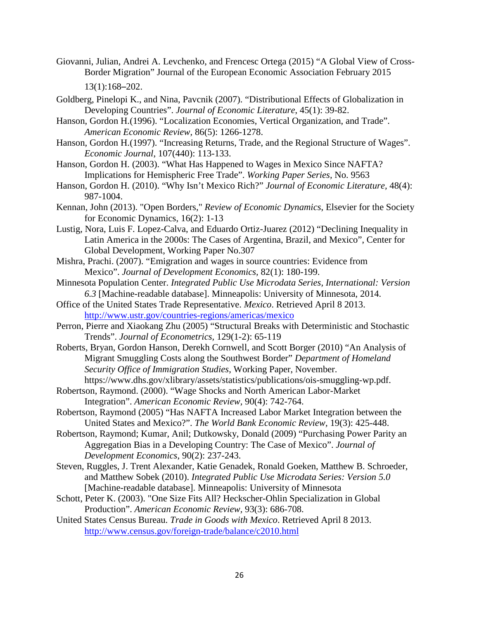- Giovanni, Julian, Andrei A. Levchenko, and Frencesc Ortega (2015) "A Global View of Cross-Border Migration" Journal of the European Economic Association February 2015 13(1):168–202.
- Goldberg, Pinelopi K., and Nina, Pavcnik (2007). "Distributional Effects of Globalization in Developing Countries". *Journal of Economic Literature*, 45(1): 39-82.
- Hanson, Gordon H.(1996). "Localization Economies, Vertical Organization, and Trade". *American Economic Review,* 86(5): 1266-1278.
- Hanson, Gordon H.(1997). "Increasing Returns, Trade, and the Regional Structure of Wages". *Economic Journal*, 107(440): 113-133.
- Hanson, Gordon H. (2003). "What Has Happened to Wages in Mexico Since NAFTA? Implications for Hemispheric Free Trade". *Working Paper Series,* No. 9563
- Hanson, Gordon H. (2010). "Why Isn't Mexico Rich?" *Journal of Economic Literature,* 48(4): 987-1004.
- Kennan, John (2013). ["Open Borders,"](http://ideas.repec.org/a/red/issued/12-8.html) *Review of Economic Dynamics*, Elsevier for the Society for Economic Dynamics, 16(2): 1-13
- Lustig, Nora, Luis F. Lopez-Calva, and Eduardo Ortiz-Juarez (2012) "Declining Inequality in Latin America in the 2000s: The Cases of Argentina, Brazil, and Mexico", Center for Global Development, Working Paper No.307
- Mishra, Prachi. (2007). "Emigration and wages in source countries: Evidence from Mexico". *Journal of Development Economics,* 82(1): 180-199.
- Minnesota Population Center. *Integrated Public Use Microdata Series, International: Version 6.3* [Machine-readable database]. Minneapolis: University of Minnesota, 2014.
- Office of the United States Trade Representative. *Mexico*. Retrieved April 8 2013. <http://www.ustr.gov/countries-regions/americas/mexico>
- Perron, Pierre and Xiaokang Zhu (2005) "Structural Breaks with Deterministic and Stochastic Trends". *Journal of Econometrics,* 129(1-2): 65-119
- Roberts, Bryan, Gordon Hanson, Derekh Cornwell, and Scott Borger (2010) "An Analysis of Migrant Smuggling Costs along the Southwest Border" *Department of Homeland Security Office of Immigration Studies*, Working Paper, November. https://www.dhs.gov/xlibrary/assets/statistics/publications/ois-smuggling-wp.pdf.
- Robertson, Raymond. (2000). "Wage Shocks and North American Labor-Market Integration". *American Economic Review,* 90(4): 742-764.
- Robertson, Raymond (2005) "Has NAFTA Increased Labor Market Integration between the United States and Mexico?". *The World Bank Economic Review,* 19(3): 425-448.
- Robertson, Raymond; Kumar, Anil; Dutkowsky, Donald (2009) "Purchasing Power Parity an Aggregation Bias in a Developing Country: The Case of Mexico". *Journal of Development Economics*, 90(2): 237-243.
- Steven, Ruggles, J. Trent Alexander, Katie Genadek, Ronald Goeken, Matthew B. Schroeder, and Matthew Sobek (2010). *Integrated Public Use Microdata Series: Version 5.0* [Machine-readable database]. Minneapolis: University of Minnesota
- Schott, Peter K. (2003). ["One Size Fits All? Heckscher-Ohlin Specialization in Global](http://ideas.repec.org/a/aea/aecrev/v93y2003i3p686-708.html)  [Production"](http://ideas.repec.org/a/aea/aecrev/v93y2003i3p686-708.html). *[American Economic Review,](http://ideas.repec.org/s/aea/aecrev.html)* 93(3): 686-708.
- United States Census Bureau. *Trade in Goods with Mexico*. Retrieved April 8 2013. <http://www.census.gov/foreign-trade/balance/c2010.html>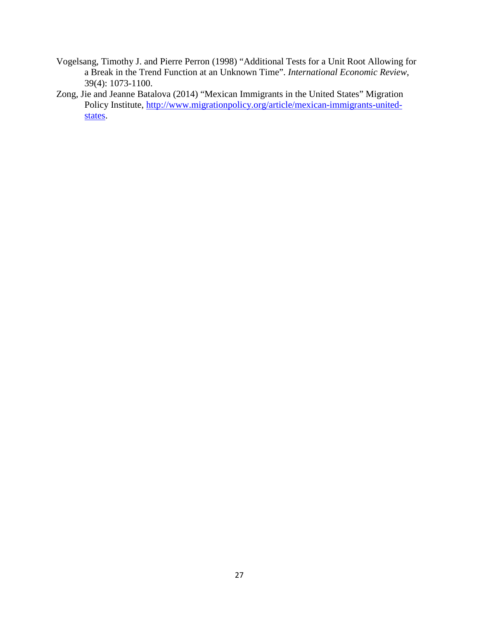- Vogelsang, Timothy J. and Pierre Perron (1998) "Additional Tests for a Unit Root Allowing for a Break in the Trend Function at an Unknown Time". *International Economic Review*, 39(4): 1073-1100.
- Zong, Jie and Jeanne Batalova (2014) "Mexican Immigrants in the United States" Migration Policy Institute, [http://www.migrationpolicy.org/article/mexican-immigrants-united](http://www.migrationpolicy.org/article/mexican-immigrants-united-states)[states.](http://www.migrationpolicy.org/article/mexican-immigrants-united-states)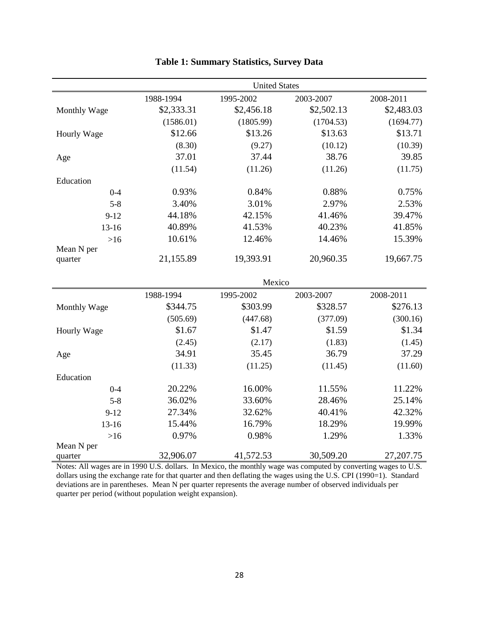|                       | <b>United States</b> |            |            |            |  |  |
|-----------------------|----------------------|------------|------------|------------|--|--|
|                       | 1988-1994            | 1995-2002  | 2003-2007  | 2008-2011  |  |  |
| Monthly Wage          | \$2,333.31           | \$2,456.18 | \$2,502.13 | \$2,483.03 |  |  |
|                       | (1586.01)            | (1805.99)  | (1704.53)  | (1694.77)  |  |  |
| Hourly Wage           | \$12.66              | \$13.26    | \$13.63    | \$13.71    |  |  |
|                       | (8.30)               | (9.27)     | (10.12)    | (10.39)    |  |  |
| Age                   | 37.01                | 37.44      | 38.76      | 39.85      |  |  |
|                       | (11.54)              | (11.26)    | (11.26)    | (11.75)    |  |  |
| Education             |                      |            |            |            |  |  |
| $0 - 4$               | 0.93%                | 0.84%      | 0.88%      | 0.75%      |  |  |
| $5 - 8$               | 3.40%                | 3.01%      | 2.97%      | 2.53%      |  |  |
| $9 - 12$              | 44.18%               | 42.15%     | 41.46%     | 39.47%     |  |  |
| 13-16                 | 40.89%               | 41.53%     | 40.23%     | 41.85%     |  |  |
| $>16$                 | 10.61%               | 12.46%     | 14.46%     | 15.39%     |  |  |
| Mean N per            |                      |            |            |            |  |  |
| quarter               | 21,155.89            | 19,393.91  | 20,960.35  | 19,667.75  |  |  |
|                       | Mexico               |            |            |            |  |  |
|                       | 1988-1994            | 1995-2002  | 2003-2007  | 2008-2011  |  |  |
| Monthly Wage          | \$344.75             | \$303.99   | \$328.57   | \$276.13   |  |  |
|                       | (505.69)             | (447.68)   | (377.09)   | (300.16)   |  |  |
| Hourly Wage           | \$1.67               | \$1.47     | \$1.59     | \$1.34     |  |  |
|                       | (2.45)               | (2.17)     | (1.83)     | (1.45)     |  |  |
| Age                   | 34.91                | 35.45      | 36.79      | 37.29      |  |  |
|                       | (11.33)              | (11.25)    | (11.45)    | (11.60)    |  |  |
| Education             |                      |            |            |            |  |  |
| $0 - 4$               | 20.22%               | 16.00%     | 11.55%     | 11.22%     |  |  |
| $5 - 8$               | 36.02%               | 33.60%     | 28.46%     | 25.14%     |  |  |
| $9-12$                | 27.34%               | 32.62%     | 40.41%     | 42.32%     |  |  |
| $13 - 16$             | 15.44%               | 16.79%     | 18.29%     | 19.99%     |  |  |
| $>16$                 | 0.97%                | 0.98%      | 1.29%      | 1.33%      |  |  |
| Mean N per<br>quarter | 32,906.07            | 41,572.53  | 30,509.20  | 27,207.75  |  |  |

## **Table 1: Summary Statistics, Survey Data**

Notes: All wages are in 1990 U.S. dollars. In Mexico, the monthly wage was computed by converting wages to U.S. dollars using the exchange rate for that quarter and then deflating the wages using the U.S. CPI (1990=1). Standard deviations are in parentheses. Mean N per quarter represents the average number of observed individuals per quarter per period (without population weight expansion).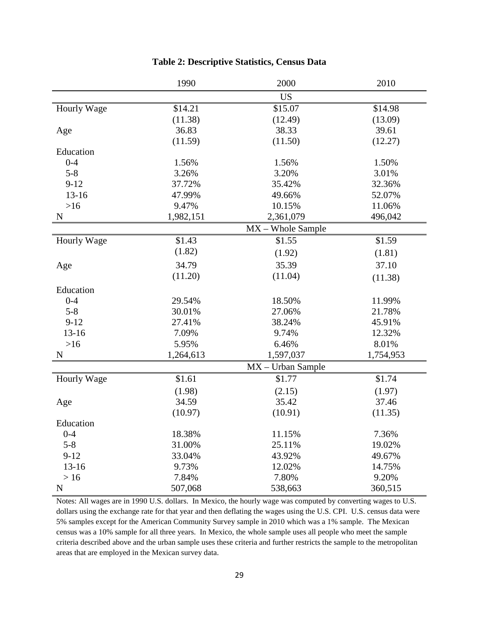|                    | 1990      | 2000                | 2010      |
|--------------------|-----------|---------------------|-----------|
|                    |           | <b>US</b>           |           |
| Hourly Wage        | \$14.21   | \$15.07             | \$14.98   |
|                    | (11.38)   | (12.49)             | (13.09)   |
| Age                | 36.83     | 38.33               | 39.61     |
|                    | (11.59)   | (11.50)             | (12.27)   |
| Education          |           |                     |           |
| $0 - 4$            | 1.56%     | 1.56%               | 1.50%     |
| $5 - 8$            | 3.26%     | 3.20%               | 3.01%     |
| $9-12$             | 37.72%    | 35.42%              | 32.36%    |
| $13 - 16$          | 47.99%    | 49.66%              | 52.07%    |
| $>16$              | 9.47%     | 10.15%              | 11.06%    |
| $\mathbf N$        | 1,982,151 | 2,361,079           | 496,042   |
|                    |           | $MX - Whole Sample$ |           |
| <b>Hourly Wage</b> | \$1.43    | \$1.55              | \$1.59    |
|                    | (1.82)    | (1.92)              | (1.81)    |
| Age                | 34.79     | 35.39               | 37.10     |
|                    | (11.20)   | (11.04)             | (11.38)   |
| Education          |           |                     |           |
| $0 - 4$            | 29.54%    | 18.50%              | 11.99%    |
| $5 - 8$            | 30.01%    | 27.06%              | 21.78%    |
| $9-12$             | 27.41%    | 38.24%              | 45.91%    |
| $13 - 16$          | 7.09%     | 9.74%               | 12.32%    |
| $>16$              | 5.95%     | 6.46%               | 8.01%     |
| $\mathbf N$        | 1,264,613 | 1,597,037           | 1,754,953 |
|                    |           | $MX - Urban Sample$ |           |
| <b>Hourly Wage</b> | \$1.61    | \$1.77              | \$1.74    |
|                    | (1.98)    | (2.15)              | (1.97)    |
| Age                | 34.59     | 35.42               | 37.46     |
|                    | (10.97)   | (10.91)             | (11.35)   |
| Education          |           |                     |           |
| $0 - 4$            | 18.38%    | 11.15%              | 7.36%     |
| $5 - 8$            | 31.00%    | 25.11%              | 19.02%    |
| $9-12$             | 33.04%    | 43.92%              | 49.67%    |
| $13 - 16$          | 9.73%     | 12.02%              | 14.75%    |
| >16                | 7.84%     | 7.80%               | 9.20%     |
| ${\bf N}$          | 507,068   | 538,663             | 360,515   |

### **Table 2: Descriptive Statistics, Census Data**

Notes: All wages are in 1990 U.S. dollars. In Mexico, the hourly wage was computed by converting wages to U.S. dollars using the exchange rate for that year and then deflating the wages using the U.S. CPI. U.S. census data were 5% samples except for the American Community Survey sample in 2010 which was a 1% sample. The Mexican census was a 10% sample for all three years. In Mexico, the whole sample uses all people who meet the sample criteria described above and the urban sample uses these criteria and further restricts the sample to the metropolitan areas that are employed in the Mexican survey data.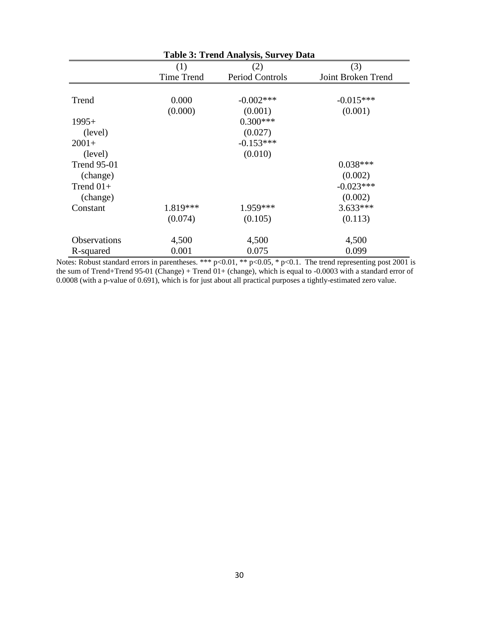| <b>Table 3: Trend Analysis, Survey Data</b> |                   |                        |                    |  |  |  |
|---------------------------------------------|-------------------|------------------------|--------------------|--|--|--|
|                                             | (1)               | (2)                    | (3)                |  |  |  |
|                                             | <b>Time Trend</b> | <b>Period Controls</b> | Joint Broken Trend |  |  |  |
|                                             |                   |                        |                    |  |  |  |
| Trend                                       | 0.000             | $-0.002$ ***           | $-0.015***$        |  |  |  |
|                                             | (0.000)           | (0.001)                | (0.001)            |  |  |  |
| $1995+$                                     |                   | $0.300***$             |                    |  |  |  |
| (level)                                     |                   | (0.027)                |                    |  |  |  |
| $2001+$                                     |                   | $-0.153***$            |                    |  |  |  |
| (level)                                     |                   | (0.010)                |                    |  |  |  |
| <b>Trend 95-01</b>                          |                   |                        | $0.038***$         |  |  |  |
| (change)                                    |                   |                        | (0.002)            |  |  |  |
| Trend $01+$                                 |                   |                        | $-0.023***$        |  |  |  |
| (change)                                    |                   |                        | (0.002)            |  |  |  |
| Constant                                    | 1.819***          | 1.959***               | $3.633***$         |  |  |  |
|                                             | (0.074)           | (0.105)                | (0.113)            |  |  |  |
| Observations                                | 4,500             | 4,500                  | 4,500              |  |  |  |
| R-squared                                   | 0.001             | 0.075                  | 0.099              |  |  |  |

Notes: Robust standard errors in parentheses. \*\*\* p<0.01, \*\* p<0.05, \* p<0.1. The trend representing post 2001 is the sum of Trend+Trend 95-01 (Change) + Trend 01+ (change), which is equal to -0.0003 with a standard error of 0.0008 (with a p-value of 0.691), which is for just about all practical purposes a tightly-estimated zero value.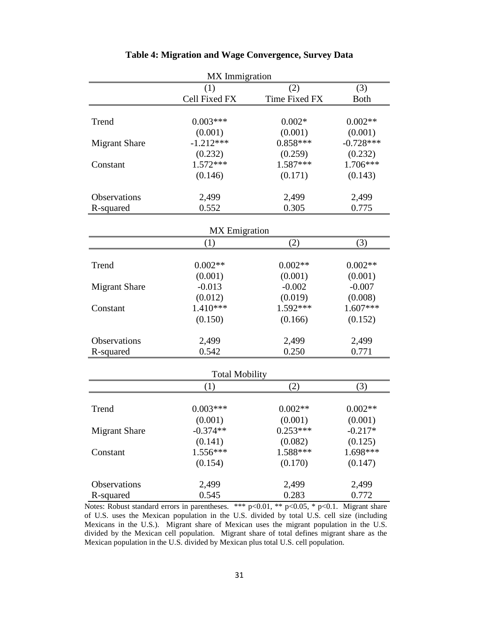| MX Immigration       |                       |               |             |  |  |  |
|----------------------|-----------------------|---------------|-------------|--|--|--|
|                      | (1)                   | (2)           | (3)         |  |  |  |
|                      | Cell Fixed FX         | Time Fixed FX | <b>Both</b> |  |  |  |
|                      |                       |               |             |  |  |  |
| Trend                | $0.003***$            | $0.002*$      | $0.002**$   |  |  |  |
|                      | (0.001)               | (0.001)       | (0.001)     |  |  |  |
| <b>Migrant Share</b> | $-1.212***$           | $0.858***$    | $-0.728***$ |  |  |  |
|                      | (0.232)               | (0.259)       | (0.232)     |  |  |  |
| Constant             | $1.572***$            | $1.587***$    | 1.706***    |  |  |  |
|                      | (0.146)               | (0.171)       | (0.143)     |  |  |  |
|                      |                       |               |             |  |  |  |
| Observations         | 2,499                 | 2,499         | 2,499       |  |  |  |
| R-squared            | 0.552                 | 0.305         | 0.775       |  |  |  |
|                      |                       |               |             |  |  |  |
|                      | <b>MX</b> Emigration  |               |             |  |  |  |
|                      | (1)                   | (2)           | (3)         |  |  |  |
|                      |                       |               |             |  |  |  |
| Trend                | $0.002**$             | $0.002**$     | $0.002**$   |  |  |  |
|                      | (0.001)               | (0.001)       | (0.001)     |  |  |  |
| <b>Migrant Share</b> | $-0.013$              | $-0.002$      | $-0.007$    |  |  |  |
|                      | (0.012)               | (0.019)       | (0.008)     |  |  |  |
| Constant             | 1.410***              | $1.592***$    | $1.607***$  |  |  |  |
|                      | (0.150)               | (0.166)       | (0.152)     |  |  |  |
|                      |                       |               |             |  |  |  |
| Observations         | 2,499                 | 2,499         | 2,499       |  |  |  |
| R-squared            | 0.542                 | 0.250         | 0.771       |  |  |  |
|                      |                       |               |             |  |  |  |
|                      | <b>Total Mobility</b> |               |             |  |  |  |
|                      | (1)                   | (2)           | (3)         |  |  |  |
|                      |                       |               |             |  |  |  |
| Trend                | $0.003***$            | $0.002**$     | $0.002**$   |  |  |  |
|                      | (0.001)               | (0.001)       | (0.001)     |  |  |  |
| <b>Migrant Share</b> | $-0.374**$            | $0.253***$    | $-0.217*$   |  |  |  |
|                      | (0.141)               | (0.082)       | (0.125)     |  |  |  |
| Constant             | 1.556***              | 1.588***      | 1.698***    |  |  |  |
|                      | (0.154)               | (0.170)       | (0.147)     |  |  |  |
|                      |                       |               |             |  |  |  |
| Observations         | 2,499                 | 2,499         | 2,499       |  |  |  |
| R-squared            | 0.545                 | 0.283         | 0.772       |  |  |  |

#### **Table 4: Migration and Wage Convergence, Survey Data**

Notes: Robust standard errors in parentheses. \*\*\*  $p<0.01$ , \*\*  $p<0.05$ , \*  $p<0.1$ . Migrant share of U.S. uses the Mexican population in the U.S. divided by total U.S. cell size (including Mexicans in the U.S.). Migrant share of Mexican uses the migrant population in the U.S. divided by the Mexican cell population. Migrant share of total defines migrant share as the Mexican population in the U.S. divided by Mexican plus total U.S. cell population.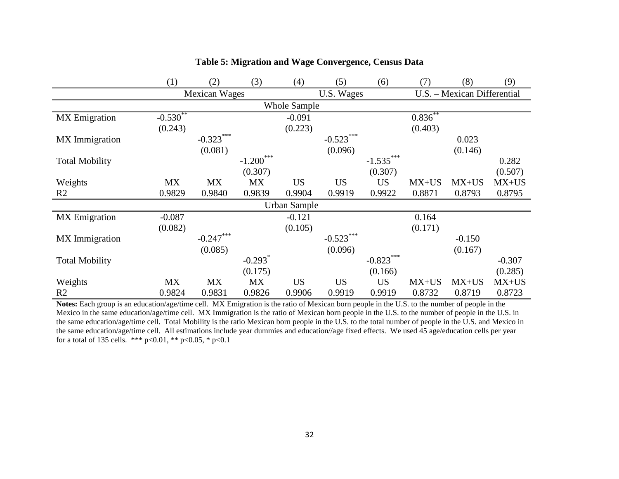|                       | (1)                 | (2)           | (3)                   | (4)          | (5)          | (6)         | (7)          | (8)                         | (9)      |
|-----------------------|---------------------|---------------|-----------------------|--------------|--------------|-------------|--------------|-----------------------------|----------|
|                       |                     | Mexican Wages |                       |              | U.S. Wages   |             |              | U.S. - Mexican Differential |          |
|                       | <b>Whole Sample</b> |               |                       |              |              |             |              |                             |          |
| <b>MX</b> Emigration  | $-0.530^{\circ}$    |               |                       | $-0.091$     |              |             | $0.836^{**}$ |                             |          |
|                       | (0.243)             |               |                       | (0.223)      |              |             | (0.403)      |                             |          |
| MX Immigration        |                     | $-0.323***$   |                       |              | $-0.523$ *** |             |              | 0.023                       |          |
|                       |                     | (0.081)       |                       |              | (0.096)      |             |              | (0.146)                     |          |
| <b>Total Mobility</b> |                     |               | $-1.200$              |              |              | $-1.535***$ |              |                             | 0.282    |
|                       |                     |               | (0.307)               |              |              | (0.307)     |              |                             | (0.507)  |
| Weights               | <b>MX</b>           | <b>MX</b>     | <b>MX</b>             | <b>US</b>    | <b>US</b>    | <b>US</b>   | $MX+US$      | $MX+US$                     | $MX+US$  |
| R <sub>2</sub>        | 0.9829              | 0.9840        | 0.9839                | 0.9904       | 0.9919       | 0.9922      | 0.8871       | 0.8793                      | 0.8795   |
|                       |                     |               |                       | Urban Sample |              |             |              |                             |          |
| <b>MX</b> Emigration  | $-0.087$            |               |                       | $-0.121$     |              |             | 0.164        |                             |          |
|                       | (0.082)             |               |                       | (0.105)      |              |             | (0.171)      |                             |          |
| MX Immigration        |                     | $-0.247***$   |                       |              | $-0.523$ *** |             |              | $-0.150$                    |          |
|                       |                     | (0.085)       |                       |              | (0.096)      |             |              | (0.167)                     |          |
| <b>Total Mobility</b> |                     |               | $-0.293$ <sup>*</sup> |              |              | $-0.823***$ |              |                             | $-0.307$ |
|                       |                     |               | (0.175)               |              |              | (0.166)     |              |                             | (0.285)  |
| Weights               | <b>MX</b>           | <b>MX</b>     | <b>MX</b>             | <b>US</b>    | <b>US</b>    | <b>US</b>   | $MX+US$      | $MX+US$                     | $MX+US$  |
| R2                    | 0.9824              | 0.9831        | 0.9826                | 0.9906       | 0.9919       | 0.9919      | 0.8732       | 0.8719                      | 0.8723   |

### **Table 5: Migration and Wage Convergence, Census Data**

**Notes:** Each group is an education/age/time cell. MX Emigration is the ratio of Mexican born people in the U.S. to the number of people in the Mexico in the same education/age/time cell. MX Immigration is the ratio of Mexican born people in the U.S. to the number of people in the U.S. in the same education/age/time cell. Total Mobility is the ratio Mexican born people in the U.S. to the total number of people in the U.S. and Mexico in the same education/age/time cell. All estimations include year dummies and education//age fixed effects. We used 45 age/education cells per year for a total of 135 cells. \*\*\* p<0.01, \*\* p<0.05, \* p<0.1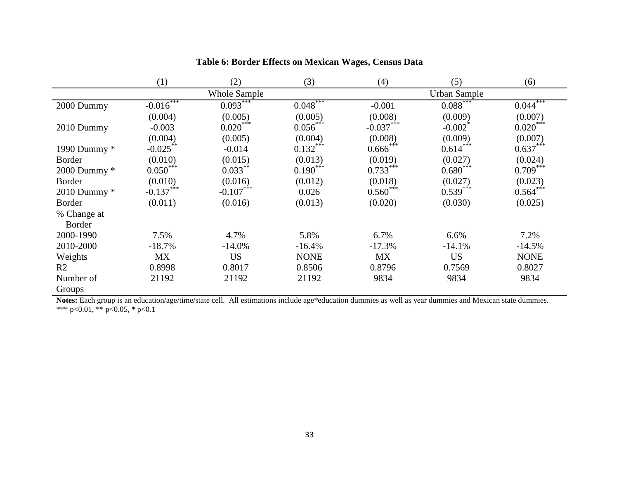|                | (1)          | (2)                 | (3)         | (4)         | (5)                   | (6)                      |
|----------------|--------------|---------------------|-------------|-------------|-----------------------|--------------------------|
|                |              | <b>Whole Sample</b> |             |             | <b>Urban Sample</b>   |                          |
| 2000 Dummy     | $-0.016$ *** | $0.093***$          | $0.048***$  | $-0.001$    | 0.088                 | ***<br>$0.044^{\degree}$ |
|                | (0.004)      | (0.005)             | (0.005)     | (0.008)     | (0.009)               | (0.007)                  |
| 2010 Dummy     | $-0.003$     | $0.020***$          | $0.056$ *** | $-0.037***$ | $-0.002$ <sup>*</sup> | $0.020***$               |
|                | (0.004)      | (0.005)             | (0.004)     | (0.008)     | (0.009)               | (0.007)                  |
| 1990 Dummy *   | $-0.025***$  | $-0.014$            | $0.132***$  | $0.666$ *** | $0.614***$            | $0.637***$               |
| <b>Border</b>  | (0.010)      | (0.015)             | (0.013)     | (0.019)     | (0.027)               | (0.024)                  |
| 2000 Dummy *   | $0.050***$   | $0.033***$          | $0.190***$  | $0.733***$  | $0.680***$            | $0.709***$               |
| <b>Border</b>  | (0.010)      | (0.016)             | (0.012)     | (0.018)     | (0.027)               | (0.023)                  |
| 2010 Dummy $*$ | $-0.137$ *** | $-0.107$ ***        | 0.026       | $0.560***$  | $0.539***$            | $0.564***$               |
| <b>Border</b>  | (0.011)      | (0.016)             | (0.013)     | (0.020)     | (0.030)               | (0.025)                  |
| % Change at    |              |                     |             |             |                       |                          |
| Border         |              |                     |             |             |                       |                          |
| 2000-1990      | 7.5%         | 4.7%                | 5.8%        | 6.7%        | 6.6%                  | 7.2%                     |
| 2010-2000      | $-18.7%$     | $-14.0%$            | $-16.4%$    | $-17.3%$    | $-14.1%$              | $-14.5%$                 |
| Weights        | MX           | <b>US</b>           | <b>NONE</b> | <b>MX</b>   | <b>US</b>             | <b>NONE</b>              |
| R <sub>2</sub> | 0.8998       | 0.8017              | 0.8506      | 0.8796      | 0.7569                | 0.8027                   |
| Number of      | 21192        | 21192               | 21192       | 9834        | 9834                  | 9834                     |
| Groups         |              |                     |             |             |                       |                          |

### **Table 6: Border Effects on Mexican Wages, Census Data**

**Notes:** Each group is an education/age/time/state cell. All estimations include age\*education dummies as well as year dummies and Mexican state dummies. \*\*\* p<0.01, \*\* p<0.05, \* p<0.1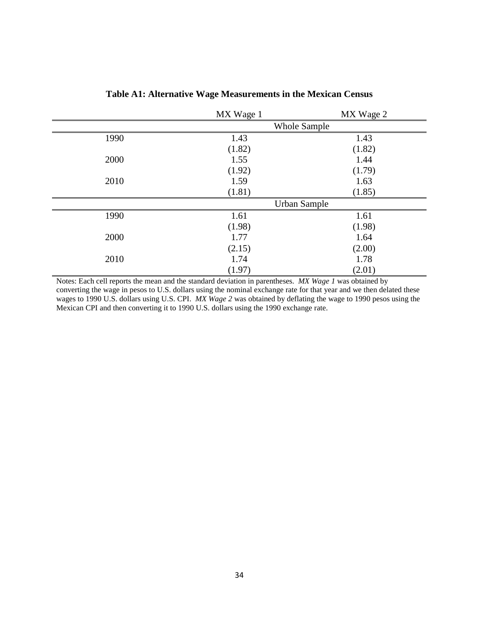|      | MX Wage 1 | MX Wage 2           |  |
|------|-----------|---------------------|--|
|      |           | Whole Sample        |  |
| 1990 | 1.43      | 1.43                |  |
|      | (1.82)    | (1.82)              |  |
| 2000 | 1.55      | 1.44                |  |
|      | (1.92)    | (1.79)              |  |
| 2010 | 1.59      | 1.63                |  |
|      | (1.81)    | (1.85)              |  |
|      |           | <b>Urban Sample</b> |  |
| 1990 | 1.61      | 1.61                |  |
|      | (1.98)    | (1.98)              |  |
| 2000 | 1.77      | 1.64                |  |
|      | (2.15)    | (2.00)              |  |
| 2010 | 1.74      | 1.78                |  |
|      | (1.97)    | (2.01)              |  |

**Table A1: Alternative Wage Measurements in the Mexican Census**

Notes: Each cell reports the mean and the standard deviation in parentheses. *MX Wage 1* was obtained by converting the wage in pesos to U.S. dollars using the nominal exchange rate for that year and we then delated these wages to 1990 U.S. dollars using U.S. CPI. *MX Wage 2* was obtained by deflating the wage to 1990 pesos using the Mexican CPI and then converting it to 1990 U.S. dollars using the 1990 exchange rate.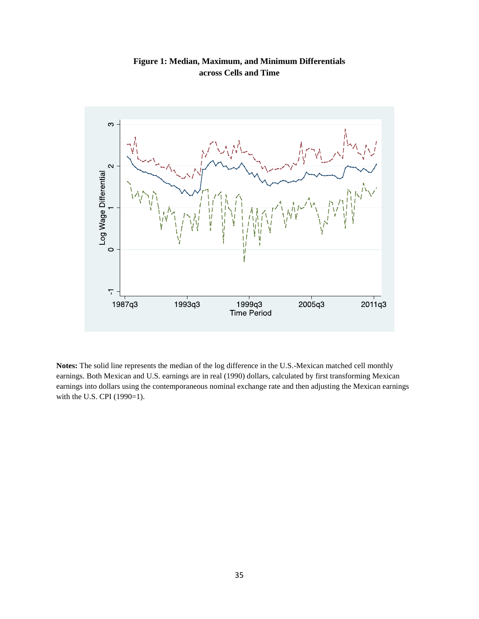

**Figure 1: Median, Maximum, and Minimum Differentials across Cells and Time**

**Notes:** The solid line represents the median of the log difference in the U.S.-Mexican matched cell monthly earnings. Both Mexican and U.S. earnings are in real (1990) dollars, calculated by first transforming Mexican earnings into dollars using the contemporaneous nominal exchange rate and then adjusting the Mexican earnings with the U.S. CPI (1990=1).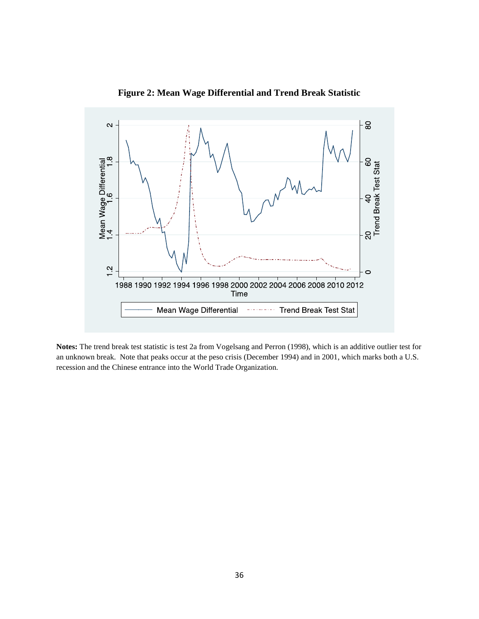

**Figure 2: Mean Wage Differential and Trend Break Statistic**

**Notes:** The trend break test statistic is test 2a from Vogelsang and Perron (1998), which is an additive outlier test for an unknown break. Note that peaks occur at the peso crisis (December 1994) and in 2001, which marks both a U.S. recession and the Chinese entrance into the World Trade Organization.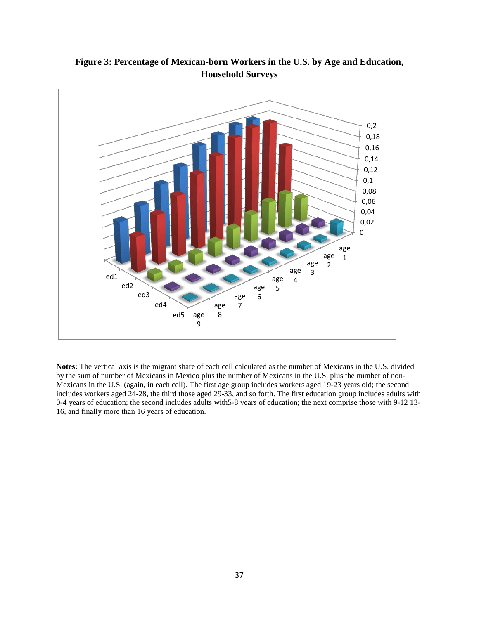

**Figure 3: Percentage of Mexican-born Workers in the U.S. by Age and Education, Household Surveys**

**Notes:** The vertical axis is the migrant share of each cell calculated as the number of Mexicans in the U.S. divided by the sum of number of Mexicans in Mexico plus the number of Mexicans in the U.S. plus the number of non-Mexicans in the U.S. (again, in each cell). The first age group includes workers aged 19-23 years old; the second includes workers aged 24-28, the third those aged 29-33, and so forth. The first education group includes adults with 0-4 years of education; the second includes adults with5-8 years of education; the next comprise those with 9-12 13- 16, and finally more than 16 years of education.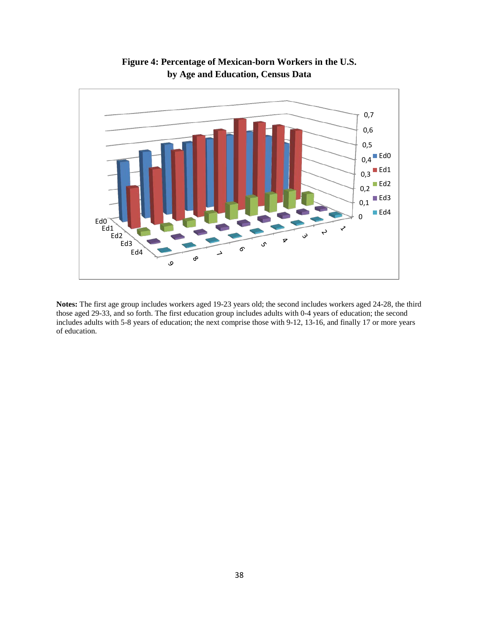

**Figure 4: Percentage of Mexican-born Workers in the U.S. by Age and Education, Census Data**

**Notes:** The first age group includes workers aged 19-23 years old; the second includes workers aged 24-28, the third those aged 29-33, and so forth. The first education group includes adults with 0-4 years of education; the second includes adults with 5-8 years of education; the next comprise those with 9-12, 13-16, and finally 17 or more years of education.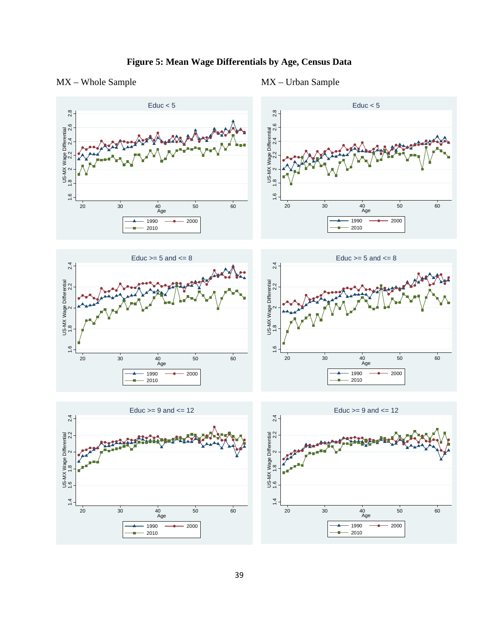

### MX – Whole Sample MX – Urban Sample

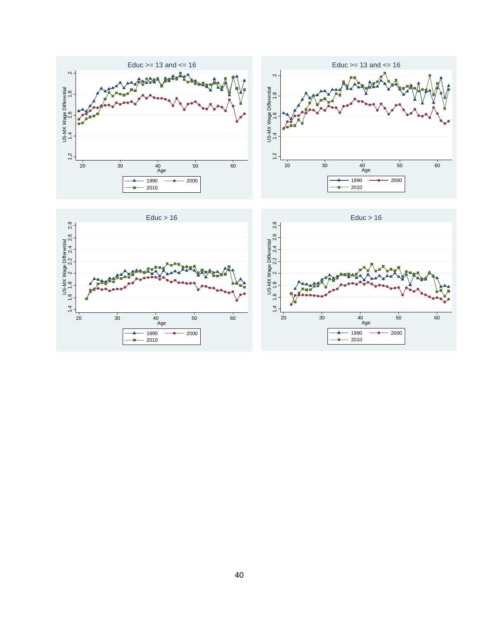



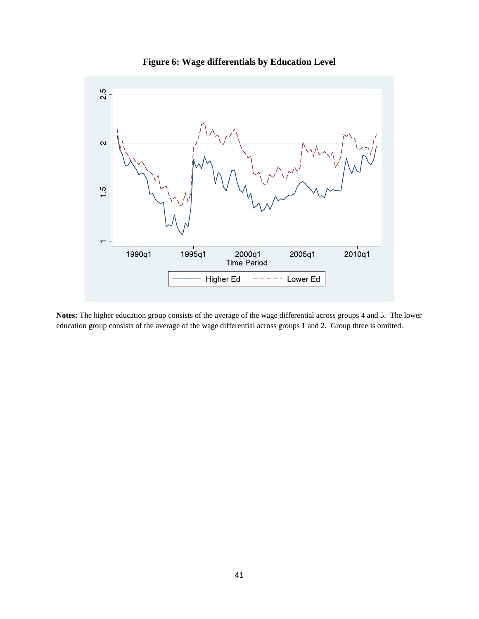

**Figure 6: Wage differentials by Education Level**

**Notes:** The higher education group consists of the average of the wage differential across groups 4 and 5. The lower education group consists of the average of the wage differential across groups 1 and 2. Group three is omitted.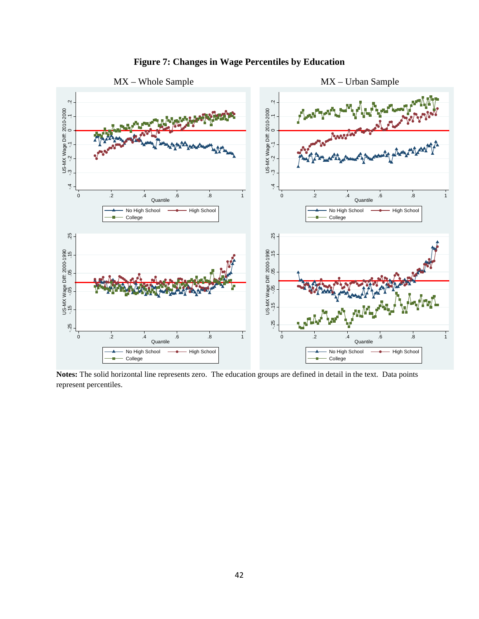

# **Figure 7: Changes in Wage Percentiles by Education**

**Notes:** The solid horizontal line represents zero. The education groups are defined in detail in the text. Data points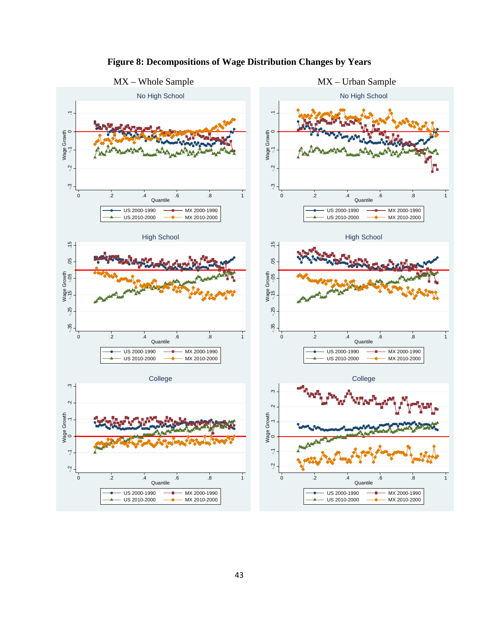

# **Figure 8: Decompositions of Wage Distribution Changes by Years**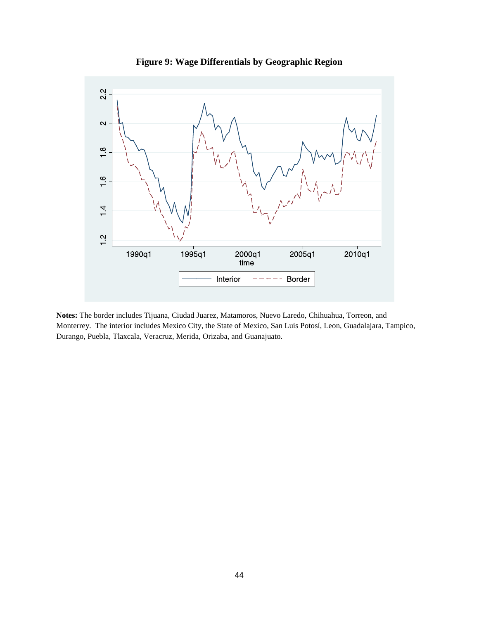

**Figure 9: Wage Differentials by Geographic Region**

**Notes:** The border includes Tijuana, Ciudad Juarez, Matamoros, Nuevo Laredo, Chihuahua, Torreon, and Monterrey. The interior includes Mexico City, the State of Mexico, San Luis Potosí, Leon, Guadalajara, Tampico, Durango, Puebla, Tlaxcala, Veracruz, Merida, Orizaba, and Guanajuato.